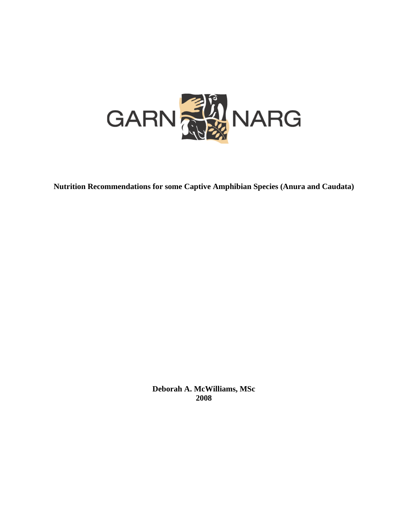

**Nutrition Recommendations for some Captive Amphibian Species (Anura and Caudata)** 

**Deborah A. McWilliams, MSc 2008**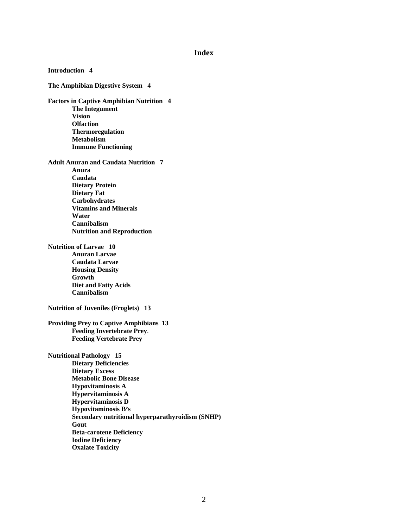#### **Index**

**Introduction 4 The Amphibian Digestive System 4 Factors in Captive Amphibian Nutrition 4 The Integument Vision Olfaction Thermoregulation Metabolism Immune Functioning Adult Anuran and Caudata Nutrition 7 Anura Caudata Dietary Protein Dietary Fat Carbohydrates Vitamins and Minerals Water Cannibalism Nutrition and Reproduction Nutrition of Larvae 10 Anuran Larvae Caudata Larvae Housing Density Growth Diet and Fatty Acids Cannibalism Nutrition of Juveniles (Froglets) 13 Providing Prey to Captive Amphibians 13 Feeding Invertebrate Prey**. **Feeding Vertebrate Prey Nutritional Pathology 15 Dietary Deficiencies Dietary Excess Metabolic Bone Disease Hypovitaminosis A Hypervitaminosis A Hypervitaminosis D Hypovitaminosis B's Secondary nutritional hyperparathyroidism (SNHP) Gout Beta-carotene Deficiency Iodine Deficiency Oxalate Toxicity**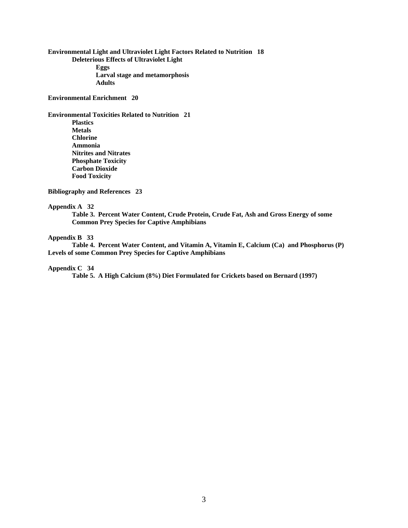**Environmental Light and Ultraviolet Light Factors Related to Nutrition 18 Deleterious Effects of Ultraviolet Light Eggs Larval stage and metamorphosis Adults**

**Environmental Enrichment 20** 

**Environmental Toxicities Related to Nutrition 21 Plastics Metals Chlorine Ammonia Nitrites and Nitrates Phosphate Toxicity Carbon Dioxide Food Toxicity**

**Bibliography and References 23** 

#### **Appendix A 32**

**Table 3. Percent Water Content, Crude Protein, Crude Fat, Ash and Gross Energy of some Common Prey Species for Captive Amphibians** 

#### **Appendix B 33**

**Table 4. Percent Water Content, and Vitamin A, Vitamin E, Calcium (Ca) and Phosphorus (P) Levels of some Common Prey Species for Captive Amphibians** 

#### **Appendix C 34**

**Table 5. A High Calcium (8%) Diet Formulated for Crickets based on Bernard (1997)**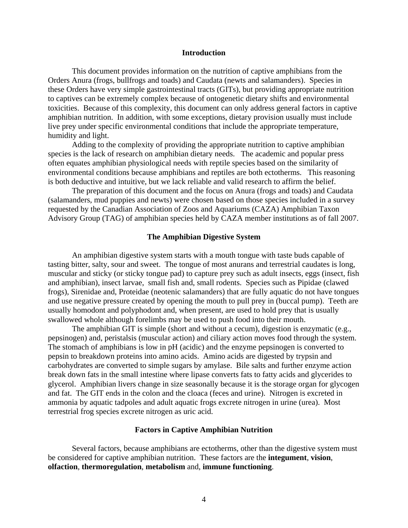#### **Introduction**

This document provides information on the nutrition of captive amphibians from the Orders Anura (frogs, bullfrogs and toads) and Caudata (newts and salamanders). Species in these Orders have very simple gastrointestinal tracts (GITs), but providing appropriate nutrition to captives can be extremely complex because of ontogenetic dietary shifts and environmental toxicities. Because of this complexity, this document can only address general factors in captive amphibian nutrition. In addition, with some exceptions, dietary provision usually must include live prey under specific environmental conditions that include the appropriate temperature, humidity and light.

Adding to the complexity of providing the appropriate nutrition to captive amphibian species is the lack of research on amphibian dietary needs. The academic and popular press often equates amphibian physiological needs with reptile species based on the similarity of environmental conditions because amphibians and reptiles are both ectotherms. This reasoning is both deductive and intuitive, but we lack reliable and valid research to affirm the belief.

The preparation of this document and the focus on Anura (frogs and toads) and Caudata (salamanders, mud puppies and newts) were chosen based on those species included in a survey requested by the Canadian Association of Zoos and Aquariums (CAZA) Amphibian Taxon Advisory Group (TAG) of amphibian species held by CAZA member institutions as of fall 2007.

#### **The Amphibian Digestive System**

An amphibian digestive system starts with a mouth tongue with taste buds capable of tasting bitter, salty, sour and sweet. The tongue of most anurans and terrestrial caudates is long, muscular and sticky (or sticky tongue pad) to capture prey such as adult insects, eggs (insect, fish and amphibian), insect larvae, small fish and, small rodents. Species such as Pipidae (clawed frogs), Sirenidae and, Proteidae (neotenic salamanders) that are fully aquatic do not have tongues and use negative pressure created by opening the mouth to pull prey in (buccal pump). Teeth are usually homodont and polyphodont and, when present, are used to hold prey that is usually swallowed whole although forelimbs may be used to push food into their mouth.

The amphibian GIT is simple (short and without a cecum), digestion is enzymatic (e.g., pepsinogen) and, peristalsis (muscular action) and ciliary action moves food through the system. The stomach of amphibians is low in pH (acidic) and the enzyme pepsinogen is converted to pepsin to breakdown proteins into amino acids. Amino acids are digested by trypsin and carbohydrates are converted to simple sugars by amylase. Bile salts and further enzyme action break down fats in the small intestine where lipase converts fats to fatty acids and glycerides to glycerol. Amphibian livers change in size seasonally because it is the storage organ for glycogen and fat. The GIT ends in the colon and the cloaca (feces and urine). Nitrogen is excreted in ammonia by aquatic tadpoles and adult aquatic frogs excrete nitrogen in urine (urea). Most terrestrial frog species excrete nitrogen as uric acid.

#### **Factors in Captive Amphibian Nutrition**

Several factors, because amphibians are ectotherms, other than the digestive system must be considered for captive amphibian nutrition. These factors are the **integument**, **vision**, **olfaction**, **thermoregulation**, **metabolism** and, **immune functioning**.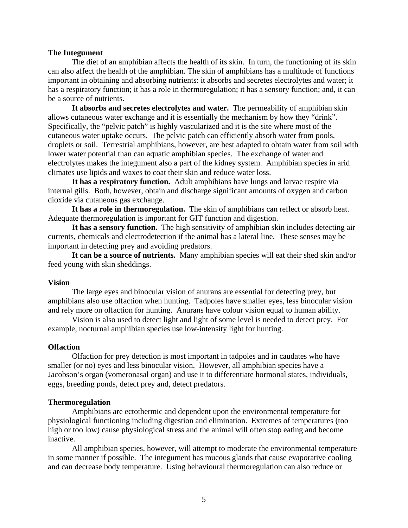#### **The Integument**

The diet of an amphibian affects the health of its skin. In turn, the functioning of its skin can also affect the health of the amphibian. The skin of amphibians has a multitude of functions important in obtaining and absorbing nutrients: it absorbs and secretes electrolytes and water; it has a respiratory function; it has a role in thermoregulation; it has a sensory function; and, it can be a source of nutrients.

**It absorbs and secretes electrolytes and water.** The permeability of amphibian skin allows cutaneous water exchange and it is essentially the mechanism by how they "drink". Specifically, the "pelvic patch" is highly vascularized and it is the site where most of the cutaneous water uptake occurs. The pelvic patch can efficiently absorb water from pools, droplets or soil. Terrestrial amphibians, however, are best adapted to obtain water from soil with lower water potential than can aquatic amphibian species. The exchange of water and electrolytes makes the integument also a part of the kidney system. Amphibian species in arid climates use lipids and waxes to coat their skin and reduce water loss.

**It has a respiratory function.** Adult amphibians have lungs and larvae respire via internal gills. Both, however, obtain and discharge significant amounts of oxygen and carbon dioxide via cutaneous gas exchange.

**It has a role in thermoregulation.** The skin of amphibians can reflect or absorb heat. Adequate thermoregulation is important for GIT function and digestion.

**It has a sensory function.** The high sensitivity of amphibian skin includes detecting air currents, chemicals and electrodetection if the animal has a lateral line. These senses may be important in detecting prey and avoiding predators.

**It can be a source of nutrients.** Many amphibian species will eat their shed skin and/or feed young with skin sheddings.

#### **Vision**

The large eyes and binocular vision of anurans are essential for detecting prey, but amphibians also use olfaction when hunting. Tadpoles have smaller eyes, less binocular vision and rely more on olfaction for hunting. Anurans have colour vision equal to human ability.

Vision is also used to detect light and light of some level is needed to detect prey. For example, nocturnal amphibian species use low-intensity light for hunting.

#### **Olfaction**

Olfaction for prey detection is most important in tadpoles and in caudates who have smaller (or no) eyes and less binocular vision. However, all amphibian species have a Jacobson's organ (vomeronasal organ) and use it to differentiate hormonal states, individuals, eggs, breeding ponds, detect prey and, detect predators.

#### **Thermoregulation**

Amphibians are ectothermic and dependent upon the environmental temperature for physiological functioning including digestion and elimination. Extremes of temperatures (too high or too low) cause physiological stress and the animal will often stop eating and become inactive.

All amphibian species, however, will attempt to moderate the environmental temperature in some manner if possible. The integument has mucous glands that cause evaporative cooling and can decrease body temperature. Using behavioural thermoregulation can also reduce or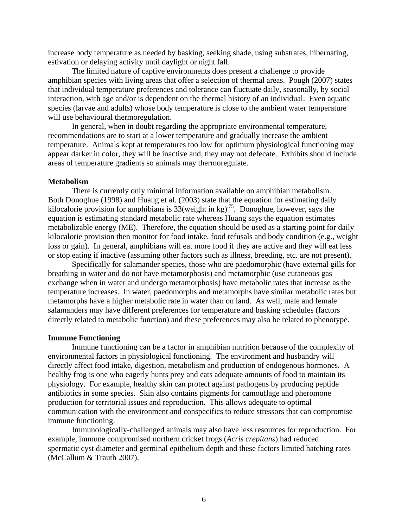increase body temperature as needed by basking, seeking shade, using substrates, hibernating, estivation or delaying activity until daylight or night fall.

The limited nature of captive environments does present a challenge to provide amphibian species with living areas that offer a selection of thermal areas. Pough (2007) states that individual temperature preferences and tolerance can fluctuate daily, seasonally, by social interaction, with age and/or is dependent on the thermal history of an individual. Even aquatic species (larvae and adults) whose body temperature is close to the ambient water temperature will use behavioural thermoregulation.

In general, when in doubt regarding the appropriate environmental temperature, recommendations are to start at a lower temperature and gradually increase the ambient temperature. Animals kept at temperatures too low for optimum physiological functioning may appear darker in color, they will be inactive and, they may not defecate. Exhibits should include areas of temperature gradients so animals may thermoregulate.

#### **Metabolism**

There is currently only minimal information available on amphibian metabolism. Both Donoghue (1998) and Huang et al. (2003) state that the equation for estimating daily kilocalorie provision for amphibians is  $33$  (weight in kg)<sup>75</sup>. Donoghue, however, says the equation is estimating standard metabolic rate whereas Huang says the equation estimates metabolizable energy (ME). Therefore, the equation should be used as a starting point for daily kilocalorie provision then monitor for food intake, food refusals and body condition (e.g., weight loss or gain). In general, amphibians will eat more food if they are active and they will eat less or stop eating if inactive (assuming other factors such as illness, breeding, etc. are not present).

Specifically for salamander species, those who are paedomorphic (have external gills for breathing in water and do not have metamorphosis) and metamorphic (use cutaneous gas exchange when in water and undergo metamorphosis) have metabolic rates that increase as the temperature increases. In water, paedomorphs and metamorphs have similar metabolic rates but metamorphs have a higher metabolic rate in water than on land. As well, male and female salamanders may have different preferences for temperature and basking schedules (factors directly related to metabolic function) and these preferences may also be related to phenotype.

#### **Immune Functioning**

Immune functioning can be a factor in amphibian nutrition because of the complexity of environmental factors in physiological functioning. The environment and husbandry will directly affect food intake, digestion, metabolism and production of endogenous hormones. A healthy frog is one who eagerly hunts prey and eats adequate amounts of food to maintain its physiology. For example, healthy skin can protect against pathogens by producing peptide antibiotics in some species. Skin also contains pigments for camouflage and pheromone production for territorial issues and reproduction. This allows adequate to optimal communication with the environment and conspecifics to reduce stressors that can compromise immune functioning.

Immunologically-challenged animals may also have less resources for reproduction. For example, immune compromised northern cricket frogs (*Acris crepitans*) had reduced spermatic cyst diameter and germinal epithelium depth and these factors limited hatching rates (McCallum & Trauth 2007).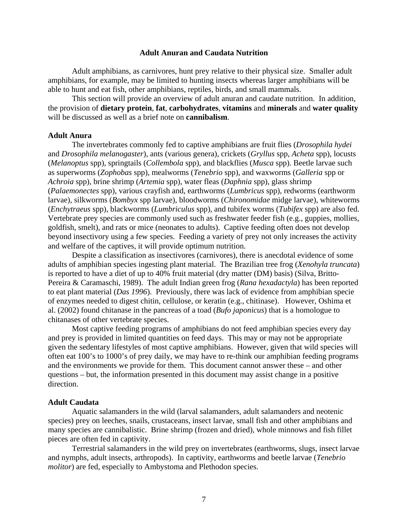#### **Adult Anuran and Caudata Nutrition**

Adult amphibians, as carnivores, hunt prey relative to their physical size. Smaller adult amphibians, for example, may be limited to hunting insects whereas larger amphibians will be able to hunt and eat fish, other amphibians, reptiles, birds, and small mammals.

This section will provide an overview of adult anuran and caudate nutrition. In addition, the provision of **dietary protein**, **fat**, **carbohydrates**, **vitamins** and **minerals** and **water quality** will be discussed as well as a brief note on **cannibalism**.

## **Adult Anura**

The invertebrates commonly fed to captive amphibians are fruit flies (*Drosophila hydei* and *Drosophila melanogaster*), ants (various genera), crickets (*Gryllus* spp, *Acheta* spp), locusts (*Melanoptus* spp), springtails (*Collembola* spp), and blackflies (*Musca* spp). Beetle larvae such as superworms (*Zophobas* spp), mealworms (*Tenebrio* spp), and waxworms (*Galleria* spp or *Achroia* spp), brine shrimp (*Artemia* spp), water fleas (*Daphnia* spp), glass shrimp (*Palaemonectes* spp), various crayfish and, earthworms (*Lumbricus* spp), redworms (earthworm larvae), silkworms (*Bombyx* spp larvae), bloodworms (*Chironomidae* midge larvae), whiteworms (*Enchytraeus* spp), blackworms (*Lumbriculus* spp), and tubifex worms (*Tubifex* spp) are also fed. Vertebrate prey species are commonly used such as freshwater feeder fish (e.g., guppies, mollies, goldfish, smelt), and rats or mice (neonates to adults). Captive feeding often does not develop beyond insectivory using a few species. Feeding a variety of prey not only increases the activity and welfare of the captives, it will provide optimum nutrition.

Despite a classification as insectivores (carnivores), there is anecdotal evidence of some adults of amphibian species ingesting plant material. The Brazilian tree frog (*Xenohyla truncata*) is reported to have a diet of up to 40% fruit material (dry matter (DM) basis) (Silva, Britto-Pereira & Caramaschi, 1989). The adult Indian green frog (*Rana hexadactyla*) has been reported to eat plant material (*Das 1996*). Previously, there was lack of evidence from amphibian specie of enzymes needed to digest chitin, cellulose, or keratin (e.g., chitinase). However, Oshima et al. (2002) found chitanase in the pancreas of a toad (*Bufo japonicus*) that is a homologue to chitanases of other vertebrate species.

Most captive feeding programs of amphibians do not feed amphibian species every day and prey is provided in limited quantities on feed days. This may or may not be appropriate given the sedentary lifestyles of most captive amphibians. However, given that wild species will often eat 100's to 1000's of prey daily, we may have to re-think our amphibian feeding programs and the environments we provide for them. This document cannot answer these – and other questions – but, the information presented in this document may assist change in a positive direction.

#### **Adult Caudata**

Aquatic salamanders in the wild (larval salamanders, adult salamanders and neotenic species) prey on leeches, snails, crustaceans, insect larvae, small fish and other amphibians and many species are cannibalistic. Brine shrimp (frozen and dried), whole minnows and fish fillet pieces are often fed in captivity.

Terrestrial salamanders in the wild prey on invertebrates (earthworms, slugs, insect larvae and nymphs, adult insects, arthropods). In captivity, earthworms and beetle larvae (*Tenebrio molitor*) are fed, especially to Ambystoma and Plethodon species.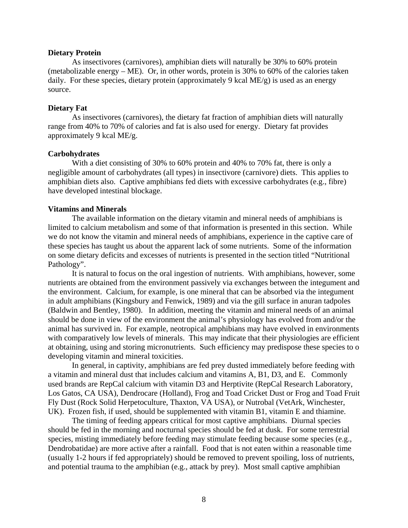#### **Dietary Protein**

As insectivores (carnivores), amphibian diets will naturally be 30% to 60% protein (metabolizable energy – ME). Or, in other words, protein is 30% to 60% of the calories taken daily. For these species, dietary protein (approximately 9 kcal ME/g) is used as an energy source.

#### **Dietary Fat**

As insectivores (carnivores), the dietary fat fraction of amphibian diets will naturally range from 40% to 70% of calories and fat is also used for energy. Dietary fat provides approximately 9 kcal ME/g.

### **Carbohydrates**

With a diet consisting of 30% to 60% protein and 40% to 70% fat, there is only a negligible amount of carbohydrates (all types) in insectivore (carnivore) diets. This applies to amphibian diets also. Captive amphibians fed diets with excessive carbohydrates (e.g., fibre) have developed intestinal blockage.

## **Vitamins and Minerals**

The available information on the dietary vitamin and mineral needs of amphibians is limited to calcium metabolism and some of that information is presented in this section. While we do not know the vitamin and mineral needs of amphibians, experience in the captive care of these species has taught us about the apparent lack of some nutrients. Some of the information on some dietary deficits and excesses of nutrients is presented in the section titled "Nutritional Pathology".

It is natural to focus on the oral ingestion of nutrients. With amphibians, however, some nutrients are obtained from the environment passively via exchanges between the integument and the environment. Calcium, for example, is one mineral that can be absorbed via the integument in adult amphibians (Kingsbury and Fenwick, 1989) and via the gill surface in anuran tadpoles (Baldwin and Bentley, 1980). In addition, meeting the vitamin and mineral needs of an animal should be done in view of the environment the animal's physiology has evolved from and/or the animal has survived in. For example, neotropical amphibians may have evolved in environments with comparatively low levels of minerals. This may indicate that their physiologies are efficient at obtaining, using and storing micronutrients. Such efficiency may predispose these species to o developing vitamin and mineral toxicities.

In general, in captivity, amphibians are fed prey dusted immediately before feeding with a vitamin and mineral dust that includes calcium and vitamins A, B1, D3, and E. Commonly used brands are RepCal calcium with vitamin D3 and Herptivite (RepCal Research Laboratory, Los Gatos, CA USA), Dendrocare (Holland), Frog and Toad Cricket Dust or Frog and Toad Fruit Fly Dust (Rock Solid Herpetoculture, Thaxton, VA USA), or Nutrobal (VetArk, Winchester, UK). Frozen fish, if used, should be supplemented with vitamin B1, vitamin E and thiamine.

The timing of feeding appears critical for most captive amphibians. Diurnal species should be fed in the morning and nocturnal species should be fed at dusk. For some terrestrial species, misting immediately before feeding may stimulate feeding because some species (e.g., Dendrobatidae) are more active after a rainfall. Food that is not eaten within a reasonable time (usually 1-2 hours if fed appropriately) should be removed to prevent spoiling, loss of nutrients, and potential trauma to the amphibian (e.g., attack by prey). Most small captive amphibian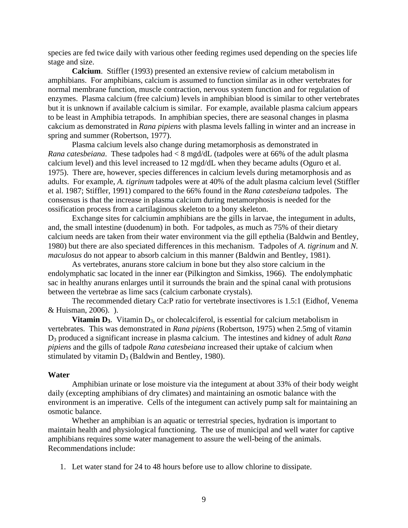species are fed twice daily with various other feeding regimes used depending on the species life stage and size.

 **Calcium**. Stiffler (1993) presented an extensive review of calcium metabolism in amphibians. For amphibians, calcium is assumed to function similar as in other vertebrates for normal membrane function, muscle contraction, nervous system function and for regulation of enzymes. Plasma calcium (free calcium) levels in amphibian blood is similar to other vertebrates but it is unknown if available calcium is similar. For example, available plasma calcium appears to be least in Amphibia tetrapods. In amphibian species, there are seasonal changes in plasma cakcium as demonstrated in *Rana pipiens* with plasma levels falling in winter and an increase in spring and summer (Robertson, 1977).

Plasma calcium levels also change during metamorphosis as demonstrated in *Rana catesbeiana*. These tadpoles had < 8 mgd/dL (tadpoles were at 66% of the adult plasma calcium level) and this level increased to 12 mgd/dL when they became adults (Oguro et al. 1975). There are, however, species differences in calcium levels during metamorphosis and as adults. For example, *A. tigrinum* tadpoles were at 40% of the adult plasma calcium level (Stiffler et al. 1987; Stiffler, 1991) compared to the 66% found in the *Rana catesbeiana* tadpoles. The consensus is that the increase in plasma calcium during metamorphosis is needed for the ossification process from a cartilaginous skeleton to a bony skeleton.

Exchange sites for calciumin amphibians are the gills in larvae, the integument in adults, and, the small intestine (duodenum) in both. For tadpoles, as much as 75% of their dietary calcium needs are taken from their water environment via the gill epthelia (Baldwin and Bentley, 1980) but there are also speciated differences in this mechanism. Tadpoles of *A. tigrinum* and *N. maculosus* do not appear to absorb calcium in this manner (Baldwin and Bentley, 1981).

As vertebrates, anurans store calcium in bone but they also store calcium in the endolymphatic sac located in the inner ear (Pilkington and Simkiss, 1966). The endolymphatic sac in healthy anurans enlarges until it surrounds the brain and the spinal canal with protusions between the vertebrae as lime sacs (calcium carbonate crystals).

The recommended dietary Ca:P ratio for vertebrate insectivores is 1.5:1 (Eidhof, Venema & Huisman, 2006). ).

**Vitamin D<sub>3</sub>.** Vitamin D<sub>3</sub>, or cholecalciferol, is essential for calcium metabolism in vertebrates. This was demonstrated in *Rana pipiens* (Robertson, 1975) when 2.5mg of vitamin D3 produced a significant increase in plasma calcium. The intestines and kidney of adult *Rana pipiens* and the gills of tadpole *Rana catesbeiana* increased their uptake of calcium when stimulated by vitamin  $D_3$  (Baldwin and Bentley, 1980).

#### **Water**

Amphibian urinate or lose moisture via the integument at about 33% of their body weight daily (excepting amphibians of dry climates) and maintaining an osmotic balance with the environment is an imperative. Cells of the integument can actively pump salt for maintaining an osmotic balance.

Whether an amphibian is an aquatic or terrestrial species, hydration is important to maintain health and physiological functioning. The use of municipal and well water for captive amphibians requires some water management to assure the well-being of the animals. Recommendations include:

1. Let water stand for 24 to 48 hours before use to allow chlorine to dissipate.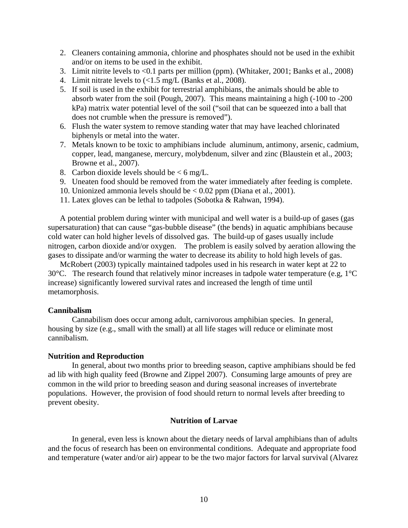- 2. Cleaners containing ammonia, chlorine and phosphates should not be used in the exhibit and/or on items to be used in the exhibit.
- 3. Limit nitrite levels to <0.1 parts per million (ppm). (Whitaker, 2001; Banks et al., 2008)
- 4. Limit nitrate levels to  $\left($ <1.5 mg/L (Banks et al., 2008).
- 5. If soil is used in the exhibit for terrestrial amphibians, the animals should be able to absorb water from the soil (Pough, 2007). This means maintaining a high (-100 to -200 kPa) matrix water potential level of the soil ("soil that can be squeezed into a ball that does not crumble when the pressure is removed").
- 6. Flush the water system to remove standing water that may have leached chlorinated biphenyls or metal into the water.
- 7. Metals known to be toxic to amphibians include aluminum, antimony, arsenic, cadmium, copper, lead, manganese, mercury, molybdenum, silver and zinc (Blaustein et al., 2003; Browne et al., 2007).
- 8. Carbon dioxide levels should be  $< 6$  mg/L.
- 9. Uneaten food should be removed from the water immediately after feeding is complete.
- 10. Unionized ammonia levels should be < 0.02 ppm (Diana et al., 2001).
- 11. Latex gloves can be lethal to tadpoles (Sobotka & Rahwan, 1994).

A potential problem during winter with municipal and well water is a build-up of gases (gas supersaturation) that can cause "gas-bubble disease" (the bends) in aquatic amphibians because cold water can hold higher levels of dissolved gas. The build-up of gases usually include nitrogen, carbon dioxide and/or oxygen. The problem is easily solved by aeration allowing the gases to dissipate and/or warming the water to decrease its ability to hold high levels of gas.

McRobert (2003) typically maintained tadpoles used in his research in water kept at 22 to 30°C. The research found that relatively minor increases in tadpole water temperature (e.g, 1°C increase) significantly lowered survival rates and increased the length of time until metamorphosis.

## **Cannibalism**

Cannabilism does occur among adult, carnivorous amphibian species. In general, housing by size (e.g., small with the small) at all life stages will reduce or eliminate most cannibalism.

## **Nutrition and Reproduction**

In general, about two months prior to breeding season, captive amphibians should be fed ad lib with high quality feed (Browne and Zippel 2007). Consuming large amounts of prey are common in the wild prior to breeding season and during seasonal increases of invertebrate populations. However, the provision of food should return to normal levels after breeding to prevent obesity.

## **Nutrition of Larvae**

In general, even less is known about the dietary needs of larval amphibians than of adults and the focus of research has been on environmental conditions. Adequate and appropriate food and temperature (water and/or air) appear to be the two major factors for larval survival (Alvarez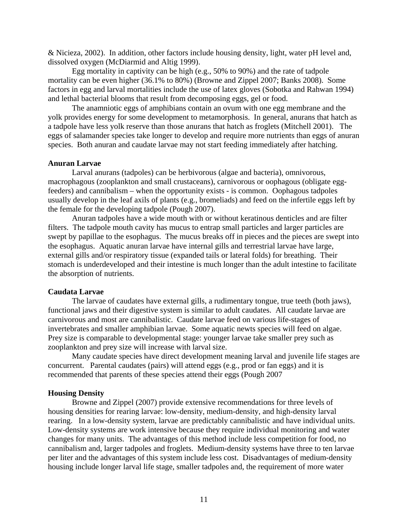& Nicieza, 2002). In addition, other factors include housing density, light, water pH level and, dissolved oxygen (McDiarmid and Altig 1999).

Egg mortality in captivity can be high (e.g., 50% to 90%) and the rate of tadpole mortality can be even higher (36.1% to 80%) (Browne and Zippel 2007; Banks 2008). Some factors in egg and larval mortalities include the use of latex gloves (Sobotka and Rahwan 1994) and lethal bacterial blooms that result from decomposing eggs, gel or food.

The anamniotic eggs of amphibians contain an ovum with one egg membrane and the yolk provides energy for some development to metamorphosis. In general, anurans that hatch as a tadpole have less yolk reserve than those anurans that hatch as froglets (Mitchell 2001). The eggs of salamander species take longer to develop and require more nutrients than eggs of anuran species. Both anuran and caudate larvae may not start feeding immediately after hatching.

#### **Anuran Larvae**

Larval anurans (tadpoles) can be herbivorous (algae and bacteria), omnivorous, macrophagous (zooplankton and small crustaceans), carnivorous or oophagous (obligate eggfeeders) and cannibalism – when the opportunity exists - is common. Oophagous tadpoles usually develop in the leaf axils of plants (e.g., bromeliads) and feed on the infertile eggs left by the female for the developing tadpole (Pough 2007).

Anuran tadpoles have a wide mouth with or without keratinous denticles and are filter filters. The tadpole mouth cavity has mucus to entrap small particles and larger particles are swept by papillae to the esophagus. The mucus breaks off in pieces and the pieces are swept into the esophagus. Aquatic anuran larvae have internal gills and terrestrial larvae have large, external gills and/or respiratory tissue (expanded tails or lateral folds) for breathing. Their stomach is underdeveloped and their intestine is much longer than the adult intestine to facilitate the absorption of nutrients.

#### **Caudata Larvae**

The larvae of caudates have external gills, a rudimentary tongue, true teeth (both jaws), functional jaws and their digestive system is similar to adult caudates. All caudate larvae are carnivorous and most are cannibalistic. Caudate larvae feed on various life-stages of invertebrates and smaller amphibian larvae. Some aquatic newts species will feed on algae. Prey size is comparable to developmental stage: younger larvae take smaller prey such as zooplankton and prey size will increase with larval size.

Many caudate species have direct development meaning larval and juvenile life stages are concurrent. Parental caudates (pairs) will attend eggs (e.g., prod or fan eggs) and it is recommended that parents of these species attend their eggs (Pough 2007

## **Housing Density**

Browne and Zippel (2007) provide extensive recommendations for three levels of housing densities for rearing larvae: low-density, medium-density, and high-density larval rearing. In a low-density system, larvae are predictably cannibalistic and have individual units. Low-density systems are work intensive because they require individual monitoring and water changes for many units. The advantages of this method include less competition for food, no cannibalism and, larger tadpoles and froglets. Medium-density systems have three to ten larvae per liter and the advantages of this system include less cost. Disadvantages of medium-density housing include longer larval life stage, smaller tadpoles and, the requirement of more water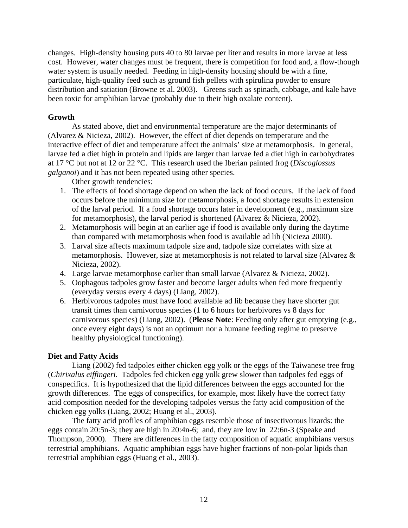changes. High-density housing puts 40 to 80 larvae per liter and results in more larvae at less cost. However, water changes must be frequent, there is competition for food and, a flow-though water system is usually needed. Feeding in high-density housing should be with a fine, particulate, high-quality feed such as ground fish pellets with spirulina powder to ensure distribution and satiation (Browne et al. 2003). Greens such as spinach, cabbage, and kale have been toxic for amphibian larvae (probably due to their high oxalate content).

## **Growth**

As stated above, diet and environmental temperature are the major determinants of (Alvarez & Nicieza, 2002). However, the effect of diet depends on temperature and the interactive effect of diet and temperature affect the animals' size at metamorphosis. In general, larvae fed a diet high in protein and lipids are larger than larvae fed a diet high in carbohydrates at 17 °C but not at 12 or 22 °C. This research used the Iberian painted frog (*Discoglossus galganoi*) and it has not been repeated using other species.

Other growth tendencies:

- 1. The effects of food shortage depend on when the lack of food occurs. If the lack of food occurs before the minimum size for metamorphosis, a food shortage results in extension of the larval period. If a food shortage occurs later in development (e.g., maximum size for metamorphosis), the larval period is shortened (Alvarez & Nicieza, 2002).
- 2. Metamorphosis will begin at an earlier age if food is available only during the daytime than compared with metamorphosis when food is available ad lib (Nicieza 2000).
- 3. Larval size affects maximum tadpole size and, tadpole size correlates with size at metamorphosis. However, size at metamorphosis is not related to larval size (Alvarez & Nicieza, 2002).
- 4. Large larvae metamorphose earlier than small larvae (Alvarez & Nicieza, 2002).
- 5. Oophagous tadpoles grow faster and become larger adults when fed more frequently (everyday versus every 4 days) (Liang, 2002).
- 6. Herbivorous tadpoles must have food available ad lib because they have shorter gut transit times than carnivorous species (1 to 6 hours for herbivores vs 8 days for carnivorous species) (Liang, 2002). (**Please Note**: Feeding only after gut emptying (e.g., once every eight days) is not an optimum nor a humane feeding regime to preserve healthy physiological functioning).

## **Diet and Fatty Acids**

Liang (2002) fed tadpoles either chicken egg yolk or the eggs of the Taiwanese tree frog (*Chirixalus eiffingeri*. Tadpoles fed chicken egg yolk grew slower than tadpoles fed eggs of conspecifics. It is hypothesized that the lipid differences between the eggs accounted for the growth differences. The eggs of conspecifics, for example, most likely have the correct fatty acid composition needed for the developing tadpoles versus the fatty acid composition of the chicken egg yolks (Liang, 2002; Huang et al., 2003).

The fatty acid profiles of amphibian eggs resemble those of insectivorous lizards: the eggs contain 20:5n-3; they are high in 20:4n-6; and, they are low in 22:6n-3 (Speake and Thompson, 2000). There are differences in the fatty composition of aquatic amphibians versus terrestrial amphibians. Aquatic amphibian eggs have higher fractions of non-polar lipids than terrestrial amphibian eggs (Huang et al., 2003).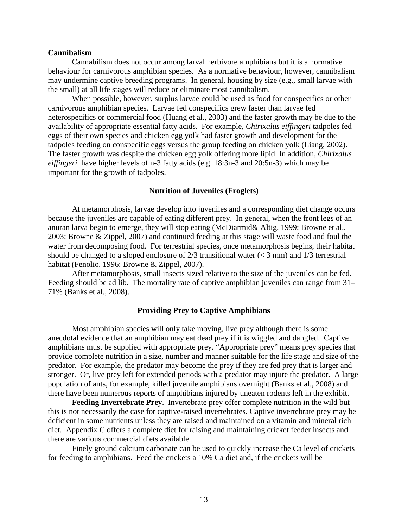#### **Cannibalism**

Cannabilism does not occur among larval herbivore amphibians but it is a normative behaviour for carnivorous amphibian species. As a normative behaviour, however, cannibalism may undermine captive breeding programs. In general, housing by size (e.g., small larvae with the small) at all life stages will reduce or eliminate most cannibalism.

 When possible, however, surplus larvae could be used as food for conspecifics or other carnivorous amphibian species. Larvae fed conspecifics grew faster than larvae fed heterospecifics or commercial food (Huang et al., 2003) and the faster growth may be due to the availability of appropriate essential fatty acids. For example, *Chirixalus eiffingeri* tadpoles fed eggs of their own species and chicken egg yolk had faster growth and development for the tadpoles feeding on conspecific eggs versus the group feeding on chicken yolk (Liang, 2002). The faster growth was despite the chicken egg yolk offering more lipid. In addition, *Chirixalus eiffingeri* have higher levels of n-3 fatty acids (e.g. 18:3n-3 and 20:5n-3) which may be important for the growth of tadpoles.

## **Nutrition of Juveniles (Froglets)**

At metamorphosis, larvae develop into juveniles and a corresponding diet change occurs because the juveniles are capable of eating different prey. In general, when the front legs of an anuran larva begin to emerge, they will stop eating (McDiarmid& Altig, 1999; Browne et al., 2003; Browne & Zippel, 2007) and continued feeding at this stage will waste food and foul the water from decomposing food. For terrestrial species, once metamorphosis begins, their habitat should be changed to a sloped enclosure of  $2/3$  transitional water ( $<$  3 mm) and  $1/3$  terrestrial habitat (Fenolio, 1996; Browne & Zippel, 2007).

After metamorphosis, small insects sized relative to the size of the juveniles can be fed. Feeding should be ad lib. The mortality rate of captive amphibian juveniles can range from 31– 71% (Banks et al., 2008).

#### **Providing Prey to Captive Amphibians**

Most amphibian species will only take moving, live prey although there is some anecdotal evidence that an amphibian may eat dead prey if it is wiggled and dangled. Captive amphibians must be supplied with appropriate prey. "Appropriate prey" means prey species that provide complete nutrition in a size, number and manner suitable for the life stage and size of the predator. For example, the predator may become the prey if they are fed prey that is larger and stronger. Or, live prey left for extended periods with a predator may injure the predator. A large population of ants, for example, killed juvenile amphibians overnight (Banks et al., 2008) and there have been numerous reports of amphibians injured by uneaten rodents left in the exhibit.

**Feeding Invertebrate Prey**. Invertebrate prey offer complete nutrition in the wild but this is not necessarily the case for captive-raised invertebrates. Captive invertebrate prey may be deficient in some nutrients unless they are raised and maintained on a vitamin and mineral rich diet. Appendix C offers a complete diet for raising and maintaining cricket feeder insects and there are various commercial diets available.

Finely ground calcium carbonate can be used to quickly increase the Ca level of crickets for feeding to amphibians. Feed the crickets a 10% Ca diet and, if the crickets will be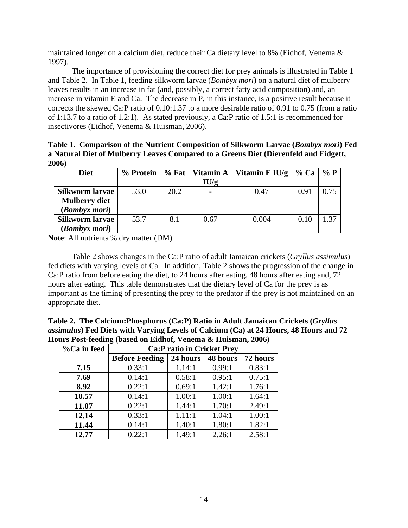maintained longer on a calcium diet, reduce their Ca dietary level to 8% (Eidhof, Venema & 1997).

The importance of provisioning the correct diet for prey animals is illustrated in Table 1 and Table 2. In Table 1, feeding silkworm larvae (*Bombyx mori*) on a natural diet of mulberry leaves results in an increase in fat (and, possibly, a correct fatty acid composition) and, an increase in vitamin E and Ca. The decrease in P, in this instance, is a positive result because it corrects the skewed Ca:P ratio of 0.10:1.37 to a more desirable ratio of 0.91 to 0.75 (from a ratio of 1:13.7 to a ratio of 1.2:1). As stated previously, a Ca:P ratio of 1.5:1 is recommended for insectivores (Eidhof, Venema & Huisman, 2006).

**Table 1. Comparison of the Nutrient Composition of Silkworm Larvae (***Bombyx mori***) Fed a Natural Diet of Mulberry Leaves Compared to a Greens Diet (Dierenfeld and Fidgett, 2006)** 

| <b>Diet</b>            | % Protein | $%$ Fat $ $ | Vitamin A | Vitamin E IU/g $\vert$ | $%$ Ca | $\%$ P |
|------------------------|-----------|-------------|-----------|------------------------|--------|--------|
|                        |           |             | IU/g      |                        |        |        |
| <b>Silkworm larvae</b> | 53.0      | 20.2        |           | 0.47                   | 0.91   | 0.75   |
| <b>Mulberry diet</b>   |           |             |           |                        |        |        |
| (Bombyx mori)          |           |             |           |                        |        |        |
| <b>Silkworm larvae</b> | 53.7      | 8.1         | 0.67      | 0.004                  | 0.10   | 1.37   |
| (Bombyx mori)          |           |             |           |                        |        |        |

**Note**: All nutrients % dry matter (DM)

Table 2 shows changes in the Ca:P ratio of adult Jamaican crickets (*Gryllus assimulus*) fed diets with varying levels of Ca. In addition, Table 2 shows the progression of the change in Ca:P ratio from before eating the diet, to 24 hours after eating, 48 hours after eating and, 72 hours after eating. This table demonstrates that the dietary level of Ca for the prey is as important as the timing of presenting the prey to the predator if the prey is not maintained on an appropriate diet.

**Table 2. The Calcium:Phosphorus (Ca:P) Ratio in Adult Jamaican Crickets (***Gryllus assimulus***) Fed Diets with Varying Levels of Calcium (Ca) at 24 Hours, 48 Hours and 72 Hours Post-feeding (based on Eidhof, Venema & Huisman, 2006)** 

| %Ca in feed | $\frac{1}{2}$ $\frac{1}{2}$ $\frac{1}{2}$ $\frac{1}{2}$ $\frac{1}{2}$ $\frac{1}{2}$ $\frac{1}{2}$ $\frac{1}{2}$ $\frac{1}{2}$ $\frac{1}{2}$ $\frac{1}{2}$ $\frac{1}{2}$ $\frac{1}{2}$ $\frac{1}{2}$ $\frac{1}{2}$ $\frac{1}{2}$ $\frac{1}{2}$ $\frac{1}{2}$ $\frac{1}{2}$ $\frac{1}{2}$ $\frac{1}{2}$ $\frac{1}{2}$<br><b>Ca:P</b> ratio in Cricket Prey |          |          |          |  |
|-------------|----------------------------------------------------------------------------------------------------------------------------------------------------------------------------------------------------------------------------------------------------------------------------------------------------------------------------------------------------------|----------|----------|----------|--|
|             | <b>Before Feeding</b>                                                                                                                                                                                                                                                                                                                                    | 24 hours | 48 hours | 72 hours |  |
| 7.15        | 0.33:1                                                                                                                                                                                                                                                                                                                                                   | 1.14:1   | 0.99:1   | 0.83:1   |  |
| 7.69        | 0.14:1                                                                                                                                                                                                                                                                                                                                                   | 0.58:1   | 0.95:1   | 0.75:1   |  |
| 8.92        | 0.22:1                                                                                                                                                                                                                                                                                                                                                   | 0.69:1   | 1.42:1   | 1.76:1   |  |
| 10.57       | 0.14:1                                                                                                                                                                                                                                                                                                                                                   | 1.00:1   | 1.00:1   | 1.64:1   |  |
| 11.07       | 0.22:1                                                                                                                                                                                                                                                                                                                                                   | 1.44:1   | 1.70:1   | 2.49:1   |  |
| 12.14       | 0.33:1                                                                                                                                                                                                                                                                                                                                                   | 1.11:1   | 1.04:1   | 1.00:1   |  |
| 11.44       | 0.14:1                                                                                                                                                                                                                                                                                                                                                   | 1.40:1   | 1.80:1   | 1.82:1   |  |
| 12.77       | 0.22:1                                                                                                                                                                                                                                                                                                                                                   | 1.49:1   | 2.26:1   | 2.58:1   |  |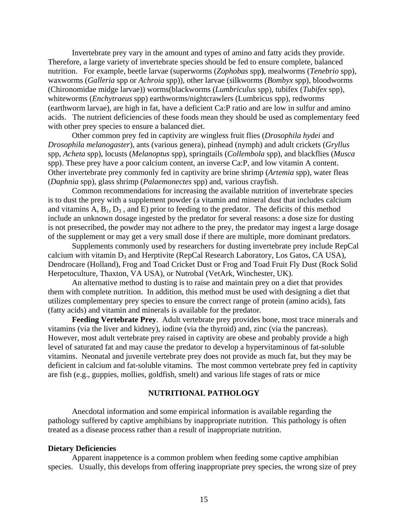Invertebrate prey vary in the amount and types of amino and fatty acids they provide. Therefore, a large variety of invertebrate species should be fed to ensure complete, balanced nutrition. For example, beetle larvae (superworms (*Zophobas* spp**)**, mealworms (*Tenebrio* spp), waxworms (*Galleria* spp or *Achroia* spp)), other larvae (silkworms (*Bombyx* spp), bloodworms (Chironomidae midge larvae)) worms(blackworms (*Lumbriculus* spp), tubifex (*Tubifex* spp), whiteworms (*Enchytraeus* spp) earthworms/nightcrawlers (Lumbricus spp), redworms (earthworm larvae), are high in fat, have a deficient Ca:P ratio and are low in sulfur and amino acids. The nutrient deficiencies of these foods mean they should be used as complementary feed with other prey species to ensure a balanced diet.

Other common prey fed in captivity are wingless fruit flies (*Drosophila hydei* and *Drosophila melanogaster*), ants (various genera), pinhead (nymph) and adult crickets (*Gryllus*  spp, *Acheta* spp), locusts (*Melanoptus* spp), springtails (*Collembola* spp), and blackflies (*Musca*  spp). These prey have a poor calcium content, an inverse Ca:P, and low vitamin A content. Other invertebrate prey commonly fed in captivity are brine shrimp (*Artemia* spp), water fleas (*Daphnia* spp), glass shrimp (*Palaemonectes* spp) and, various crayfish.

Common recommendations for increasing the available nutrition of invertebrate species is to dust the prey with a supplement powder (a vitamin and mineral dust that includes calcium and vitamins  $A, B_1, D_3$ , and  $E$ ) prior to feeding to the predator. The deficits of this method include an unknown dosage ingested by the predator for several reasons: a dose size for dusting is not presecribed, the powder may not adhere to the prey, the predator may ingest a large dosage of the supplement or may get a very small dose if there are multiple, more dominant predators.

Supplements commonly used by researchers for dusting invertebrate prey include RepCal calcium with vitamin  $D_3$  and Herptivite (RepCal Research Laboratory, Los Gatos, CA USA), Dendrocare (Holland), Frog and Toad Cricket Dust or Frog and Toad Fruit Fly Dust (Rock Solid Herpetoculture, Thaxton, VA USA), or Nutrobal (VetArk, Winchester, UK).

An alternative method to dusting is to raise and maintain prey on a diet that provides them with complete nutrition. In addition, this method must be used with designing a diet that utilizes complementary prey species to ensure the correct range of protein (amino acids), fats (fatty acids) and vitamin and minerals is available for the predator.

**Feeding Vertebrate Prey**. Adult vertebrate prey provides bone, most trace minerals and vitamins (via the liver and kidney), iodine (via the thyroid) and, zinc (via the pancreas). However, most adult vertebrate prey raised in captivity are obese and probably provide a high level of saturated fat and may cause the predator to develop a hypervitaminous of fat-soluble vitamins. Neonatal and juvenile vertebrate prey does not provide as much fat, but they may be deficient in calcium and fat-soluble vitamins. The most common vertebrate prey fed in captivity are fish (e.g., guppies, mollies, goldfish, smelt) and various life stages of rats or mice

## **NUTRITIONAL PATHOLOGY**

Anecdotal information and some empirical information is available regarding the pathology suffered by captive amphibians by inappropriate nutrition. This pathology is often treated as a disease process rather than a result of inappropriate nutrition.

#### **Dietary Deficiencies**

Apparent inappetence is a common problem when feeding some captive amphibian species. Usually, this develops from offering inappropriate prey species, the wrong size of prey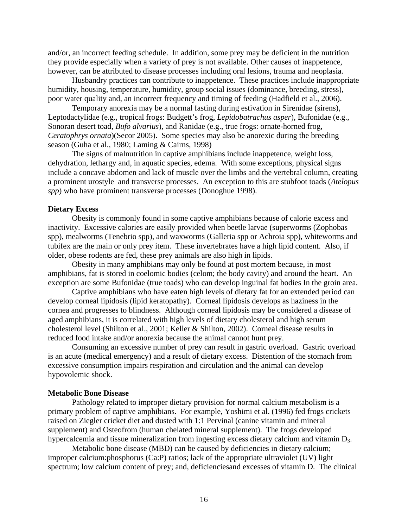and/or, an incorrect feeding schedule. In addition, some prey may be deficient in the nutrition they provide especially when a variety of prey is not available. Other causes of inappetence, however, can be attributed to disease processes including oral lesions, trauma and neoplasia.

Husbandry practices can contribute to inappetence. These practices include inappropriate humidity, housing, temperature, humidity, group social issues (dominance, breeding, stress), poor water quality and, an incorrect frequency and timing of feeding (Hadfield et al., 2006).

Temporary anorexia may be a normal fasting during estivation in Sirenidae (sirens), Leptodactylidae (e.g., tropical frogs: Budgett's frog, *Lepidobatrachus asper*), Bufonidae (e.g., Sonoran desert toad, *Bufo alvarius*), and Ranidae (e.g., true frogs: ornate-horned frog, *Ceratophrys ornata*)(Secor 2005). Some species may also be anorexic during the breeding season (Guha et al., 1980; Laming & Cairns, 1998)

The signs of malnutrition in captive amphibians include inappetence, weight loss, dehydration, lethargy and, in aquatic species, edema. With some exceptions, physical signs include a concave abdomen and lack of muscle over the limbs and the vertebral column, creating a prominent urostyle and transverse processes. An exception to this are stubfoot toads (*Atelopus spp*) who have prominent transverse processes (Donoghue 1998).

#### **Dietary Excess**

Obesity is commonly found in some captive amphibians because of calorie excess and inactivity. Excessive calories are easily provided when beetle larvae (superworms (Zophobas spp), mealworms (Tenebrio spp), and waxworms (Galleria spp or Achroia spp), whiteworms and tubifex are the main or only prey item. These invertebrates have a high lipid content. Also, if older, obese rodents are fed, these prey animals are also high in lipids.

Obesity in many amphibians may only be found at post mortem because, in most amphibians, fat is stored in coelomic bodies (celom; the body cavity) and around the heart. An exception are some Bufonidae (true toads) who can develop inguinal fat bodies In the groin area.

Captive amphibians who have eaten high levels of dietary fat for an extended period can develop corneal lipidosis (lipid keratopathy). Corneal lipidosis develops as haziness in the cornea and progresses to blindness. Although corneal lipidosis may be considered a disease of aged amphibians, it is correlated with high levels of dietary cholesterol and high serum cholesterol level (Shilton et al., 2001; Keller & Shilton, 2002). Corneal disease results in reduced food intake and/or anorexia because the animal cannot hunt prey.

Consuming an excessive number of prey can result in gastric overload. Gastric overload is an acute (medical emergency) and a result of dietary excess. Distention of the stomach from excessive consumption impairs respiration and circulation and the animal can develop hypovolemic shock.

#### **Metabolic Bone Disease**

Pathology related to improper dietary provision for normal calcium metabolism is a primary problem of captive amphibians. For example, Yoshimi et al. (1996) fed frogs crickets raised on Ziegler cricket diet and dusted with 1:1 Pervinal (canine vitamin and mineral supplement) and Osteofrom (human chelated mineral supplement). The frogs developed hypercalcemia and tissue mineralization from ingesting excess dietary calcium and vitamin D<sub>3</sub>.

Metabolic bone disease (MBD) can be caused by deficiencies in dietary calcium; improper calcium:phosphorus (Ca:P) ratios; lack of the appropriate ultraviolet (UV) light spectrum; low calcium content of prey; and, deficienciesand excesses of vitamin D. The clinical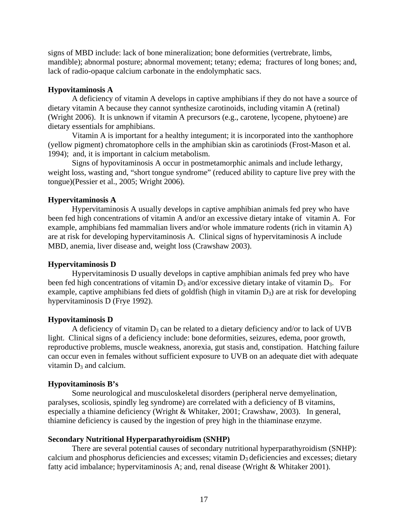signs of MBD include: lack of bone mineralization; bone deformities (vertrebrate, limbs, mandible); abnormal posture; abnormal movement; tetany; edema; fractures of long bones; and, lack of radio-opaque calcium carbonate in the endolymphatic sacs.

## **Hypovitaminosis A**

A deficiency of vitamin A develops in captive amphibians if they do not have a source of dietary vitamin A because they cannot synthesize carotinoids, including vitamin A (retinal) (Wright 2006). It is unknown if vitamin A precursors (e.g., carotene, lycopene, phytoene) are dietary essentials for amphibians.

Vitamin A is important for a healthy integument; it is incorporated into the xanthophore (yellow pigment) chromatophore cells in the amphibian skin as carotiniods (Frost-Mason et al. 1994); and, it is important in calcium metabolism.

Signs of hypovitaminosis A occur in postmetamorphic animals and include lethargy, weight loss, wasting and, "short tongue syndrome" (reduced ability to capture live prey with the tongue)(Pessier et al., 2005; Wright 2006).

### **Hypervitaminosis A**

Hypervitaminosis A usually develops in captive amphibian animals fed prey who have been fed high concentrations of vitamin A and/or an excessive dietary intake of vitamin A. For example, amphibians fed mammalian livers and/or whole immature rodents (rich in vitamin A) are at risk for developing hypervitaminosis A. Clinical signs of hypervitaminosis A include MBD, anemia, liver disease and, weight loss (Crawshaw 2003).

#### **Hypervitaminosis D**

Hypervitaminosis D usually develops in captive amphibian animals fed prey who have been fed high concentrations of vitamin  $D_3$  and/or excessive dietary intake of vitamin  $D_3$ . For example, captive amphibians fed diets of goldfish (high in vitamin  $D_3$ ) are at risk for developing hypervitaminosis D (Frye 1992).

#### **Hypovitaminosis D**

A deficiency of vitamin  $D_3$  can be related to a dietary deficiency and/or to lack of UVB light. Clinical signs of a deficiency include: bone deformities, seizures, edema, poor growth, reproductive problems, muscle weakness, anorexia, gut stasis and, constipation. Hatching failure can occur even in females without sufficient exposure to UVB on an adequate diet with adequate vitamin  $D_3$  and calcium.

#### **Hypovitaminosis B's**

Some neurological and musculoskeletal disorders (peripheral nerve demyelination, paralyses, scoliosis, spindly leg syndrome) are correlated with a deficiency of B vitamins, especially a thiamine deficiency (Wright & Whitaker, 2001; Crawshaw, 2003). In general, thiamine deficiency is caused by the ingestion of prey high in the thiaminase enzyme.

#### **Secondary Nutritional Hyperparathyroidism (SNHP)**

There are several potential causes of secondary nutritional hyperparathyroidism (SNHP): calcium and phosphorus deficiencies and excesses; vitamin  $D_3$  deficiencies and excesses; dietary fatty acid imbalance; hypervitaminosis A; and, renal disease (Wright & Whitaker 2001).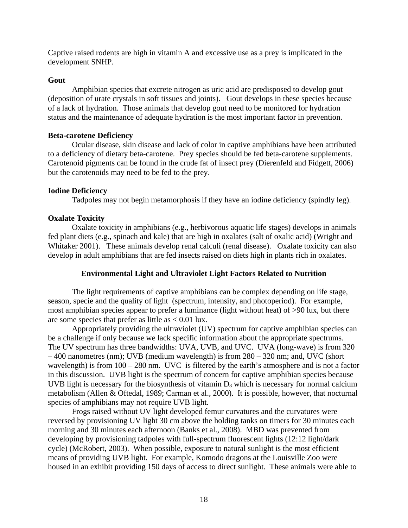Captive raised rodents are high in vitamin A and excessive use as a prey is implicated in the development SNHP.

## **Gout**

Amphibian species that excrete nitrogen as uric acid are predisposed to develop gout (deposition of urate crystals in soft tissues and joints). Gout develops in these species because of a lack of hydration. Those animals that develop gout need to be monitored for hydration status and the maintenance of adequate hydration is the most important factor in prevention.

## **Beta-carotene Deficiency**

Ocular disease, skin disease and lack of color in captive amphibians have been attributed to a deficiency of dietary beta-carotene. Prey species should be fed beta-carotene supplements. Carotenoid pigments can be found in the crude fat of insect prey (Dierenfeld and Fidgett, 2006) but the carotenoids may need to be fed to the prey.

## **Iodine Deficiency**

Tadpoles may not begin metamorphosis if they have an iodine deficiency (spindly leg).

## **Oxalate Toxicity**

Oxalate toxicity in amphibians (e.g., herbivorous aquatic life stages) develops in animals fed plant diets (e.g., spinach and kale) that are high in oxalates (salt of oxalic acid) (Wright and Whitaker 2001). These animals develop renal calculi (renal disease). Oxalate toxicity can also develop in adult amphibians that are fed insects raised on diets high in plants rich in oxalates.

## **Environmental Light and Ultraviolet Light Factors Related to Nutrition**

The light requirements of captive amphibians can be complex depending on life stage, season, specie and the quality of light (spectrum, intensity, and photoperiod). For example, most amphibian species appear to prefer a luminance (light without heat) of >90 lux, but there are some species that prefer as little as  $< 0.01$  lux.

Appropriately providing the ultraviolet (UV) spectrum for captive amphibian species can be a challenge if only because we lack specific information about the appropriate spectrums. The UV spectrum has three bandwidths: UVA, UVB, and UVC. UVA (long-wave) is from 320 – 400 nanometres (nm); UVB (medium wavelength) is from 280 – 320 nm; and, UVC (short wavelength) is from  $100 - 280$  nm. UVC is filtered by the earth's atmosphere and is not a factor in this discussion. UVB light is the spectrum of concern for captive amphibian species because UVB light is necessary for the biosynthesis of vitamin  $D_3$  which is necessary for normal calcium metabolism (Allen & Oftedal, 1989; Carman et al., 2000). It is possible, however, that nocturnal species of amphibians may not require UVB light.

Frogs raised without UV light developed femur curvatures and the curvatures were reversed by provisioning UV light 30 cm above the holding tanks on timers for 30 minutes each morning and 30 minutes each afternoon (Banks et al., 2008). MBD was prevented from developing by provisioning tadpoles with full-spectrum fluorescent lights (12:12 light/dark cycle) (McRobert, 2003). When possible, exposure to natural sunlight is the most efficient means of providing UVB light. For example, Komodo dragons at the Louisville Zoo were housed in an exhibit providing 150 days of access to direct sunlight. These animals were able to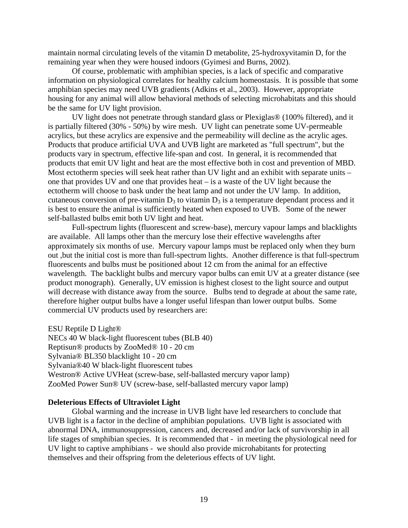maintain normal circulating levels of the vitamin D metabolite, 25-hydroxyvitamin D, for the remaining year when they were housed indoors (Gyimesi and Burns, 2002).

Of course, problematic with amphibian species, is a lack of specific and comparative information on physiological correlates for healthy calcium homeostasis. It is possible that some amphibian species may need UVB gradients (Adkins et al., 2003). However, appropriate housing for any animal will allow behavioral methods of selecting microhabitats and this should be the same for UV light provision.

UV light does not penetrate through standard glass or Plexiglas® (100% filtered), and it is partially filtered (30% - 50%) by wire mesh. UV light can penetrate some UV-permeable acrylics, but these acrylics are expensive and the permeability will decline as the acrylic ages. Products that produce artificial UVA and UVB light are marketed as "full spectrum", but the products vary in spectrum, effective life-span and cost. In general, it is recommended that products that emit UV light and heat are the most effective both in cost and prevention of MBD. Most ectotherm species will seek heat rather than UV light and an exhibit with separate units – one that provides UV and one that provides heat – is a waste of the UV light because the ectotherm will choose to bask under the heat lamp and not under the UV lamp. In addition, cutaneous conversion of pre-vitamin  $D_3$  to vitamin  $D_3$  is a temperature dependant process and it is best to ensure the animal is sufficiently heated when exposed to UVB. Some of the newer self-ballasted bulbs emit both UV light and heat.

Full-spectrum lights (fluorescent and screw-base), mercury vapour lamps and blacklights are available. All lamps other than the mercury lose their effective wavelengths after approximately six months of use. Mercury vapour lamps must be replaced only when they burn out ,but the initial cost is more than full-spectrum lights. Another difference is that full-spectrum fluorescents and bulbs must be positioned about 12 cm from the animal for an effective wavelength. The backlight bulbs and mercury vapor bulbs can emit UV at a greater distance (see product monograph). Generally, UV emission is highest closest to the light source and output will decrease with distance away from the source. Bulbs tend to degrade at about the same rate, therefore higher output bulbs have a longer useful lifespan than lower output bulbs. Some commercial UV products used by researchers are:

ESU Reptile D Light®

NECs 40 W black-light fluorescent tubes (BLB 40) Reptisun® products by ZooMed® 10 - 20 cm Sylvania® BL350 blacklight 10 - 20 cm Sylvania®40 W black-light fluorescent tubes Westron® Active UVHeat (screw-base, self-ballasted mercury vapor lamp) ZooMed Power Sun® UV (screw-base, self-ballasted mercury vapor lamp)

## **Deleterious Effects of Ultraviolet Light**

Global warming and the increase in UVB light have led researchers to conclude that UVB light is a factor in the decline of amphibian populations. UVB light is associated with abnormal DNA, immunosuppression, cancers and, decreased and/or lack of survivorship in all life stages of smphibian species. It is recommended that - in meeting the physiological need for UV light to captive amphibians - we should also provide microhabitants for protecting themselves and their offspring from the deleterious effects of UV light.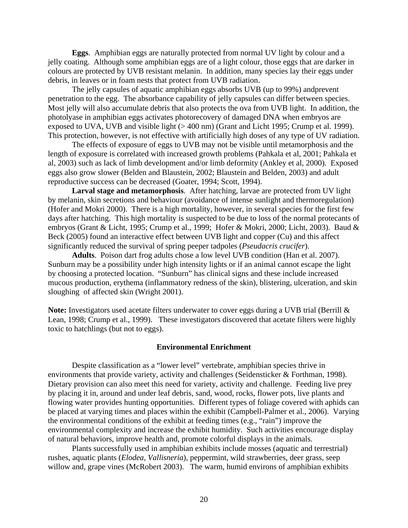**Eggs**. Amphibian eggs are naturally protected from normal UV light by colour and a jelly coating. Although some amphibian eggs are of a light colour, those eggs that are darker in colours are protected by UVB resistant melanin. In addition, many species lay their eggs under debris, in leaves or in foam nests that protect from UVB radiation.

The jelly capsules of aquatic amphibian eggs absorbs UVB (up to 99%) andprevent penetration to the egg. The absorbance capability of jelly capsules can differ between species. Most jelly will also accumulate debris that also protects the ova from UVB light. In addition, the photolyase in amphibian eggs activates photorecovery of damaged DNA when embryos are exposed to UVA, UVB and visible light (> 400 nm) (Grant and Licht 1995; Crump et al. 1999). This protection, however, is not effective with artificially high doses of any type of UV radiation.

The effects of exposure of eggs to UVB may not be visible until metamorphosis and the length of exposure is correlated with increased growth problems (Pahkala et al, 2001; Pahkala et al, 2003) such as lack of limb development and/or limb deformity (Ankley et al, 2000). Exposed eggs also grow slower (Belden and Blaustein, 2002; Blaustein and Belden, 2003) and adult reproductive success can be decreased (Goater, 1994; Scott, 1994).

**Larval stage and metamorphosis**. After hatching, larvae are protected from UV light by melanin, skin secretions and behaviour (avoidance of intense sunlight and thermoregulation) (Hofer and Mokri 2000). There is a high mortality, however, in several species for the first few days after hatching. This high mortality is suspected to be due to loss of the normal protecants of embryos (Grant & Licht, 1995; Crump et al., 1999; Hofer & Mokri, 2000; Licht, 2003). Baud & Beck (2005) found an interactive effect between UVB light and copper (Cu) and this affect significantly reduced the survival of spring peeper tadpoles (*Pseudacris crucifer*).

**Adults**. Poison dart frog adults chose a low level UVB condition (Han et al. 2007). Sunburn may be a possibility under high intensity lights or if an animal cannot escape the light by choosing a protected location. "Sunburn" has clinical signs and these include increased mucous production, erythema (inflammatory redness of the skin), blistering, ulceration, and skin sloughing of affected skin (Wright 2001).

**Note:** Investigators used acetate filters underwater to cover eggs during a UVB trial (Berrill & Lean, 1998; Crump et al., 1999). These investigators discovered that acetate filters were highly toxic to hatchlings (but not to eggs).

#### **Environmental Enrichment**

Despite classification as a "lower level" vertebrate, amphibian species thrive in environments that provide variety, activity and challenges (Seidensticker & Forthman, 1998). Dietary provision can also meet this need for variety, activity and challenge. Feeding live prey by placing it in, around and under leaf debris, sand, wood, rocks, flower pots, live plants and flowing water provides hunting opportunities. Different types of foliage covered with aphids can be placed at varying times and places within the exhibit (Campbell-Palmer et al., 2006). Varying the environmental conditions of the exhibit at feeding times (e.g., "rain") improve the environmental complexity and increase the exhibit humidity. Such activities encourage display of natural behaviors, improve health and, promote colorful displays in the animals.

Plants successfully used in amphibian exhibits include mosses (aquatic and terrestrial) rushes, aquatic plants (*Elodea*, *Vallisneria*), peppermint, wild strawberries, deer grass, seep willow and, grape vines (McRobert 2003). The warm, humid environs of amphibian exhibits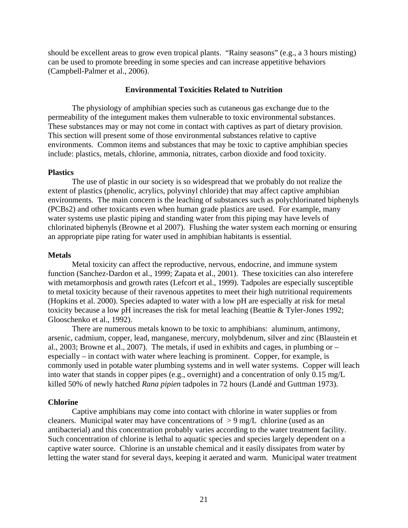should be excellent areas to grow even tropical plants. "Rainy seasons" (e.g., a 3 hours misting) can be used to promote breeding in some species and can increase appetitive behaviors (Campbell-Palmer et al., 2006).

## **Environmental Toxicities Related to Nutrition**

The physiology of amphibian species such as cutaneous gas exchange due to the permeability of the integument makes them vulnerable to toxic environmental substances. These substances may or may not come in contact with captives as part of dietary provision. This section will present some of those environmental substances relative to captive environments. Common items and substances that may be toxic to captive amphibian species include: plastics, metals, chlorine, ammonia, nitrates, carbon dioxide and food toxicity.

#### **Plastics**

The use of plastic in our society is so widespread that we probably do not realize the extent of plastics (phenolic, acrylics, polyvinyl chloride) that may affect captive amphibian environments. The main concern is the leaching of substances such as polychlorinated biphenyls (PCBs2) and other toxicants even when human grade plastics are used. For example, many water systems use plastic piping and standing water from this piping may have levels of chlorinated biphenyls (Browne et al 2007). Flushing the water system each morning or ensuring an appropriate pipe rating for water used in amphibian habitants is essential.

#### **Metals**

Metal toxicity can affect the reproductive, nervous, endocrine, and immune system function (Sanchez-Dardon et al., 1999; Zapata et al., 2001). These toxicities can also interefere with metamorphosis and growth rates (Lefcort et al., 1999). Tadpoles are especially susceptible to metal toxicity because of their ravenous appetites to meet their high nutritional requirements (Hopkins et al. 2000). Species adapted to water with a low pH are especially at risk for metal toxicity because a low pH increases the risk for metal leaching (Beattie & Tyler-Jones 1992; Glooschenko et al., 1992).

There are numerous metals known to be toxic to amphibians: aluminum, antimony, arsenic, cadmium, copper, lead, manganese, mercury, molybdenum, silver and zinc (Blaustein et al., 2003; Browne et al., 2007). The metals, if used in exhibits and cages, in plumbing or  $$ especially – in contact with water where leaching is prominent. Copper, for example, is commonly used in potable water plumbing systems and in well water systems. Copper will leach into water that stands in copper pipes (e.g., overnight) and a concentration of only 0.15 mg/L killed 50% of newly hatched *Rana pipien* tadpoles in 72 hours (Landé and Guttman 1973).

#### **Chlorine**

Captive amphibians may come into contact with chlorine in water supplies or from cleaners. Municipal water may have concentrations of  $> 9$  mg/L chlorine (used as an antibacterial) and this concentration probably varies according to the water treatment facility. Such concentration of chlorine is lethal to aquatic species and species largely dependent on a captive water source. Chlorine is an unstable chemical and it easily dissipates from water by letting the water stand for several days, keeping it aerated and warm. Municipal water treatment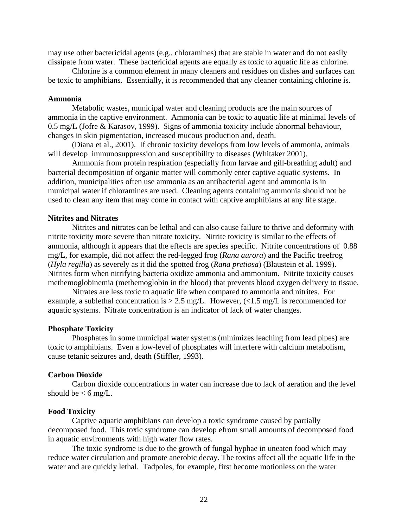may use other bactericidal agents (e.g., chloramines) that are stable in water and do not easily dissipate from water. These bactericidal agents are equally as toxic to aquatic life as chlorine.

 Chlorine is a common element in many cleaners and residues on dishes and surfaces can be toxic to amphibians. Essentially, it is recommended that any cleaner containing chlorine is.

#### **Ammonia**

Metabolic wastes, municipal water and cleaning products are the main sources of ammonia in the captive environment. Ammonia can be toxic to aquatic life at minimal levels of 0.5 mg/L (Jofre & Karasov, 1999). Signs of ammonia toxicity include abnormal behaviour, changes in skin pigmentation, increased mucous production and, death.

(Diana et al., 2001). If chronic toxicity develops from low levels of ammonia, animals will develop immunosuppression and susceptibility to diseases (Whitaker 2001).

Ammonia from protein respiration (especially from larvae and gill-breathing adult) and bacterial decomposition of organic matter will commonly enter captive aquatic systems. In addition, municipalities often use ammonia as an antibacterial agent and ammonia is in municipal water if chloramines are used. Cleaning agents containing ammonia should not be used to clean any item that may come in contact with captive amphibians at any life stage.

#### **Nitrites and Nitrates**

Nitrites and nitrates can be lethal and can also cause failure to thrive and deformity with nitrite toxicity more severe than nitrate toxicity. Nitrite toxicity is similar to the effects of ammonia, although it appears that the effects are species specific. Nitrite concentrations of 0.88 mg/L, for example, did not affect the red-legged frog (*Rana aurora*) and the Pacific treefrog (*Hyla regilla*) as severely as it did the spotted frog (*Rana pretiosa*) (Blaustein et al. 1999). Nitrites form when nitrifying bacteria oxidize ammonia and ammonium. Nitrite toxicity causes methemoglobinemia (methemoglobin in the blood) that prevents blood oxygen delivery to tissue.

Nitrates are less toxic to aquatic life when compared to ammonia and nitrites. For example, a sublethal concentration is  $> 2.5$  mg/L. However,  $\langle$ <1.5 mg/L is recommended for aquatic systems. Nitrate concentration is an indicator of lack of water changes.

#### **Phosphate Toxicity**

Phosphates in some municipal water systems (minimizes leaching from lead pipes) are toxic to amphibians. Even a low-level of phosphates will interfere with calcium metabolism, cause tetanic seizures and, death (Stiffler, 1993).

#### **Carbon Dioxide**

Carbon dioxide concentrations in water can increase due to lack of aeration and the level should be  $< 6$  mg/L.

#### **Food Toxicity**

Captive aquatic amphibians can develop a toxic syndrome caused by partially decomposed food. This toxic syndrome can develop efrom small amounts of decomposed food in aquatic environments with high water flow rates.

The toxic syndrome is due to the growth of fungal hyphae in uneaten food which may reduce water circulation and promote anerobic decay. The toxins affect all the aquatic life in the water and are quickly lethal. Tadpoles, for example, first become motionless on the water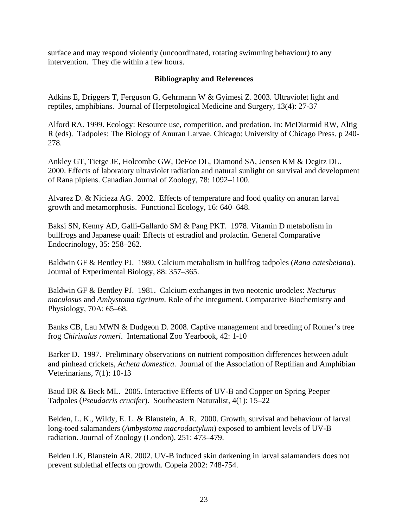surface and may respond violently (uncoordinated, rotating swimming behaviour) to any intervention. They die within a few hours.

## **Bibliography and References**

Adkins E, Driggers T, Ferguson G, Gehrmann W & Gyimesi Z. 2003. Ultraviolet light and reptiles, amphibians. Journal of Herpetological Medicine and Surgery, 13(4): 27-37

Alford RA. 1999. Ecology: Resource use, competition, and predation. In: McDiarmid RW, Altig R (eds). Tadpoles: The Biology of Anuran Larvae. Chicago: University of Chicago Press. p 240- 278.

Ankley GT, Tietge JE, Holcombe GW, DeFoe DL, Diamond SA, Jensen KM & Degitz DL. 2000. Effects of laboratory ultraviolet radiation and natural sunlight on survival and development of Rana pipiens. Canadian Journal of Zoology, 78: 1092–1100.

Alvarez D. & Nicieza AG. 2002. Effects of temperature and food quality on anuran larval growth and metamorphosis. Functional Ecology, 16: 640–648.

Baksi SN, Kenny AD, Galli-Gallardo SM & Pang PKT. 1978. Vitamin D metabolism in bullfrogs and Japanese quail: Effects of estradiol and prolactin. General Comparative Endocrinology, 35: 258–262.

Baldwin GF & Bentley PJ. 1980. Calcium metabolism in bullfrog tadpoles (*Rana catesbeiana*). Journal of Experimental Biology, 88: 357–365.

Baldwin GF & Bentley PJ. 1981. Calcium exchanges in two neotenic urodeles: *Necturus maculosu*s and *Ambystoma tigrinum*. Role of the integument. Comparative Biochemistry and Physiology, 70A: 65–68.

Banks CB, Lau MWN & Dudgeon D. 2008. Captive management and breeding of Romer's tree frog *Chirixalus romeri*. International Zoo Yearbook, 42: 1-10

Barker D. 1997. Preliminary observations on nutrient composition differences between adult and pinhead crickets, *Acheta domestica*. Journal of the Association of Reptilian and Amphibian Veterinarians, 7(1): 10-13

Baud DR & Beck ML. 2005. Interactive Effects of UV-B and Copper on Spring Peeper Tadpoles (*Pseudacris crucifer*). Southeastern Naturalist, 4(1): 15–22

Belden, L. K., Wildy, E. L. & Blaustein, A. R. 2000. Growth, survival and behaviour of larval long-toed salamanders (*Ambystoma macrodactylum*) exposed to ambient levels of UV-B radiation. Journal of Zoology (London), 251: 473–479.

Belden LK, Blaustein AR. 2002. UV-B induced skin darkening in larval salamanders does not prevent sublethal effects on growth. Copeia 2002: 748-754.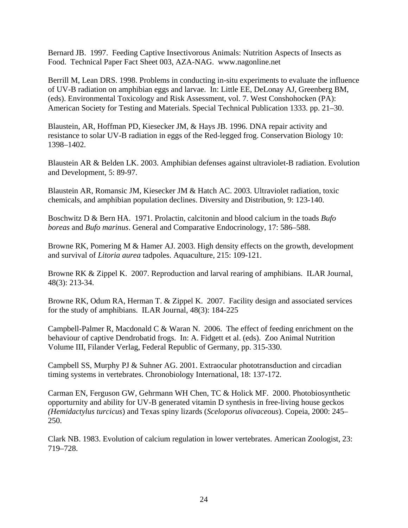Bernard JB. 1997. Feeding Captive Insectivorous Animals: Nutrition Aspects of Insects as Food. Technical Paper Fact Sheet 003, AZA-NAG. www.nagonline.net

Berrill M, Lean DRS. 1998. Problems in conducting in-situ experiments to evaluate the influence of UV-B radiation on amphibian eggs and larvae. In: Little EE, DeLonay AJ, Greenberg BM, (eds). Environmental Toxicology and Risk Assessment, vol. 7. West Conshohocken (PA): American Society for Testing and Materials. Special Technical Publication 1333. pp. 21–30.

Blaustein, AR, Hoffman PD, Kiesecker JM, & Hays JB. 1996. DNA repair activity and resistance to solar UV-B radiation in eggs of the Red-legged frog. Conservation Biology 10: 1398–1402.

Blaustein AR & Belden LK. 2003. Amphibian defenses against ultraviolet-B radiation. Evolution and Development, 5: 89-97.

Blaustein AR, Romansic JM, Kiesecker JM & Hatch AC. 2003. Ultraviolet radiation, toxic chemicals, and amphibian population declines. Diversity and Distribution, 9: 123-140.

Boschwitz D & Bern HA. 1971. Prolactin, calcitonin and blood calcium in the toads *Bufo boreas* and *Bufo marinus*. General and Comparative Endocrinology, 17: 586–588.

Browne RK, Pomering M & Hamer AJ. 2003. High density effects on the growth, development and survival of *Litoria aurea* tadpoles. Aquaculture, 215: 109-121.

Browne RK & Zippel K. 2007. Reproduction and larval rearing of amphibians. ILAR Journal, 48(3): 213-34.

Browne RK, Odum RA, Herman T. & Zippel K. 2007. Facility design and associated services for the study of amphibians. ILAR Journal, 48(3): 184-225

Campbell-Palmer R, Macdonald C & Waran N. 2006. The effect of feeding enrichment on the behaviour of captive Dendrobatid frogs. In: A. Fidgett et al. (eds). Zoo Animal Nutrition Volume III, Filander Verlag, Federal Republic of Germany, pp. 315-330.

Campbell SS, Murphy PJ & Suhner AG. 2001. Extraocular phototransduction and circadian timing systems in vertebrates. Chronobiology International, 18: 137-172.

Carman EN, Ferguson GW, Gehrmann WH Chen, TC & Holick MF. 2000. Photobiosynthetic opporturnity and ability for UV-B generated vitamin D synthesis in free-living house geckos *(Hemidactylus turcicus*) and Texas spiny lizards (*Sceloporus olivaceous*). Copeia, 2000: 245– 250.

Clark NB. 1983. Evolution of calcium regulation in lower vertebrates. American Zoologist, 23: 719–728.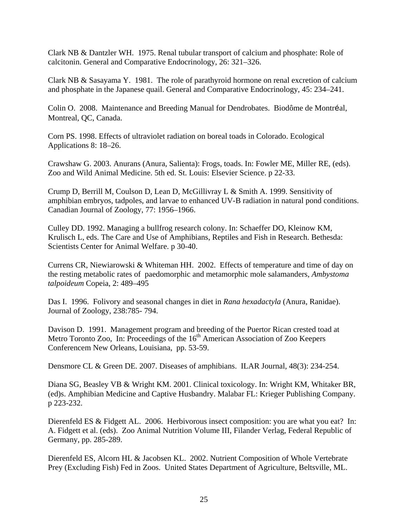Clark NB & Dantzler WH. 1975. Renal tubular transport of calcium and phosphate: Role of calcitonin. General and Comparative Endocrinology, 26: 321–326.

Clark NB & Sasayama Y. 1981. The role of parathyroid hormone on renal excretion of calcium and phosphate in the Japanese quail. General and Comparative Endocrinology, 45: 234–241.

Colin O. 2008. Maintenance and Breeding Manual for Dendrobates. Biodôme de Montréal, Montreal, QC, Canada.

Corn PS. 1998. Effects of ultraviolet radiation on boreal toads in Colorado. Ecological Applications 8: 18–26.

Crawshaw G. 2003. Anurans (Anura, Salienta): Frogs, toads. In: Fowler ME, Miller RE, (eds). Zoo and Wild Animal Medicine. 5th ed. St. Louis: Elsevier Science. p 22-33.

Crump D, Berrill M, Coulson D, Lean D, McGillivray L & Smith A. 1999. Sensitivity of amphibian embryos, tadpoles, and larvae to enhanced UV-B radiation in natural pond conditions. Canadian Journal of Zoology, 77: 1956–1966.

Culley DD. 1992. Managing a bullfrog research colony. In: Schaeffer DO, Kleinow KM, Krulisch L, eds. The Care and Use of Amphibians, Reptiles and Fish in Research. Bethesda: Scientists Center for Animal Welfare. p 30-40.

Currens CR, Niewiarowski & Whiteman HH. 2002. Effects of temperature and time of day on the resting metabolic rates of paedomorphic and metamorphic mole salamanders, *Ambystoma talpoideum* Copeia, 2: 489–495

Das I. 1996. Folivory and seasonal changes in diet in *Rana hexadactyla* (Anura, Ranidae). Journal of Zoology, 238:785- 794.

Davison D. 1991. Management program and breeding of the Puertor Rican crested toad at Metro Toronto Zoo, In: Proceedings of the  $16<sup>th</sup>$  American Association of Zoo Keepers Conferencem New Orleans, Louisiana, pp. 53-59.

Densmore CL & Green DE. 2007. Diseases of amphibians. ILAR Journal, 48(3): 234-254.

Diana SG, Beasley VB & Wright KM. 2001. Clinical toxicology. In: Wright KM, Whitaker BR, (ed)s. Amphibian Medicine and Captive Husbandry. Malabar FL: Krieger Publishing Company. p 223-232.

Dierenfeld ES & Fidgett AL. 2006. Herbivorous insect composition: you are what you eat? In: A. Fidgett et al. (eds). Zoo Animal Nutrition Volume III, Filander Verlag, Federal Republic of Germany, pp. 285-289.

Dierenfeld ES, Alcorn HL & Jacobsen KL. 2002. Nutrient Composition of Whole Vertebrate Prey (Excluding Fish) Fed in Zoos. United States Department of Agriculture, Beltsville, ML.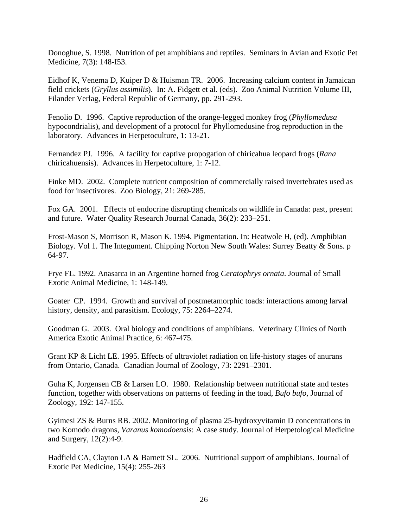Donoghue, S. 1998. Nutrition of pet amphibians and reptiles. Seminars in Avian and Exotic Pet Medicine, 7(3): 148-I53.

Eidhof K, Venema D, Kuiper D & Huisman TR. 2006. Increasing calcium content in Jamaican field crickets (*Gryllus assimilis*). In: A. Fidgett et al. (eds). Zoo Animal Nutrition Volume III, Filander Verlag, Federal Republic of Germany, pp. 291-293.

Fenolio D. 1996. Captive reproduction of the orange-legged monkey frog (*Phyllomedusa*  hypocondrialis), and development of a protocol for Phyllomedusine frog reproduction in the laboratory. Advances in Herpetoculture, 1: 13-21.

Fernandez PJ. 1996. A facility for captive propogation of chiricahua leopard frogs (*Rana*  chiricahuensis). Advances in Herpetoculture, 1: 7-12.

Finke MD. 2002. Complete nutrient composition of commercially raised invertebrates used as food for insectivores. Zoo Biology, 21: 269-285.

Fox GA. 2001. Effects of endocrine disrupting chemicals on wildlife in Canada: past, present and future. Water Quality Research Journal Canada, 36(2): 233–251.

Frost-Mason S, Morrison R, Mason K. 1994. Pigmentation. In: Heatwole H, (ed). Amphibian Biology. Vol 1. The Integument. Chipping Norton New South Wales: Surrey Beatty & Sons. p 64-97.

Frye FL. 1992. Anasarca in an Argentine horned frog *Ceratophrys ornata*. Journal of Small Exotic Animal Medicine, 1: 148-149.

Goater CP. 1994. Growth and survival of postmetamorphic toads: interactions among larval history, density, and parasitism. Ecology, 75: 2264–2274.

Goodman G. 2003. Oral biology and conditions of amphibians. Veterinary Clinics of North America Exotic Animal Practice, 6: 467-475.

Grant KP & Licht LE. 1995. Effects of ultraviolet radiation on life-history stages of anurans from Ontario, Canada. Canadian Journal of Zoology, 73: 2291–2301.

Guha K, Jorgensen CB & Larsen LO. 1980. Relationship between nutritional state and testes function, together with observations on patterns of feeding in the toad, *Bufo bufo*, Journal of Zoology, 192: 147-155.

Gyimesi ZS & Burns RB. 2002. Monitoring of plasma 25-hydroxyvitamin D concentrations in two Komodo dragons, *Varanus komodoensis*: A case study. Journal of Herpetological Medicine and Surgery, 12(2):4-9.

Hadfield CA, Clayton LA & Barnett SL. 2006. Nutritional support of amphibians. Journal of Exotic Pet Medicine, 15(4): 255-263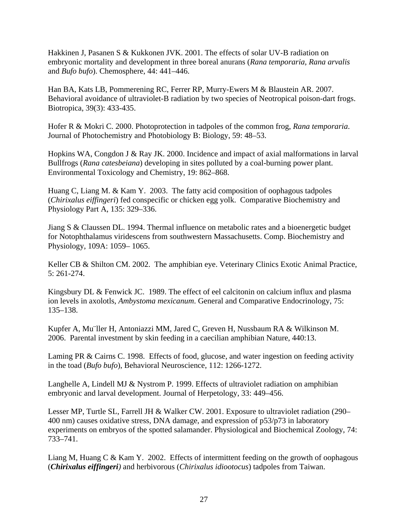Hakkinen J, Pasanen S & Kukkonen JVK. 2001. The effects of solar UV-B radiation on embryonic mortality and development in three boreal anurans (*Rana temporaria*, *Rana arvalis* and *Bufo bufo*). Chemosphere, 44: 441–446.

Han BA, Kats LB, Pommerening RC, Ferrer RP, Murry-Ewers M & Blaustein AR. 2007. Behavioral avoidance of ultraviolet-B radiation by two species of Neotropical poison-dart frogs. Biotropica, 39(3): 433-435.

Hofer R & Mokri C. 2000. Photoprotection in tadpoles of the common frog, *Rana temporaria*. Journal of Photochemistry and Photobiology B: Biology, 59: 48–53.

Hopkins WA, Congdon J & Ray JK. 2000. Incidence and impact of axial malformations in larval Bullfrogs (*Rana catesbeiana*) developing in sites polluted by a coal-burning power plant. Environmental Toxicology and Chemistry, 19: 862–868.

Huang C, Liang M. & Kam Y. 2003. The fatty acid composition of oophagous tadpoles (*Chirixalus eiffingeri*) fed conspecific or chicken egg yolk. Comparative Biochemistry and Physiology Part A, 135: 329–336.

Jiang S & Claussen DL. 1994. Thermal influence on metabolic rates and a bioenergetic budget for Notophthalamus viridescens from southwestern Massachusetts. Comp. Biochemistry and Physiology, 109A: 1059– 1065.

Keller CB & Shilton CM. 2002. The amphibian eye. Veterinary Clinics Exotic Animal Practice, 5: 261-274.

Kingsbury DL & Fenwick JC. 1989. The effect of eel calcitonin on calcium influx and plasma ion levels in axolotls, *Ambystoma mexicanum*. General and Comparative Endocrinology, 75: 135–138.

Kupfer A, Mu¨ller H, Antoniazzi MM, Jared C, Greven H, Nussbaum RA & Wilkinson M. 2006. Parental investment by skin feeding in a caecilian amphibian Nature, 440:13.

Laming PR & Cairns C. 1998. Effects of food, glucose, and water ingestion on feeding activity in the toad (*Bufo bufo*), Behavioral Neuroscience, 112: 1266-1272.

Langhelle A, Lindell MJ & Nystrom P. 1999. Effects of ultraviolet radiation on amphibian embryonic and larval development. Journal of Herpetology, 33: 449–456.

Lesser MP, Turtle SL, Farrell JH & Walker CW. 2001. Exposure to ultraviolet radiation (290– 400 nm) causes oxidative stress, DNA damage, and expression of p53/p73 in laboratory experiments on embryos of the spotted salamander. Physiological and Biochemical Zoology, 74: 733–741.

Liang M, Huang C & Kam Y. 2002. Effects of intermittent feeding on the growth of oophagous (*Chirixalus eiffingeri)* and herbivorous (*Chirixalus idiootocus*) tadpoles from Taiwan.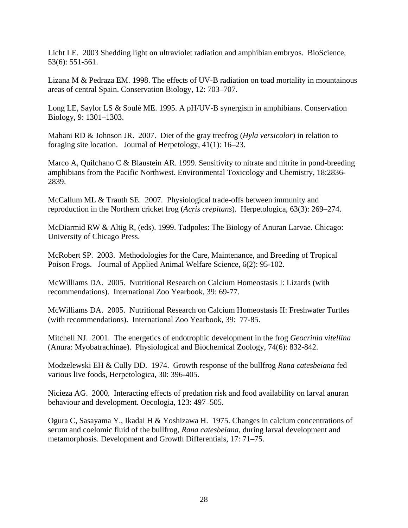Licht LE. 2003 Shedding light on ultraviolet radiation and amphibian embryos. BioScience, 53(6): 551-561.

Lizana M & Pedraza EM. 1998. The effects of UV-B radiation on toad mortality in mountainous areas of central Spain. Conservation Biology, 12: 703–707.

Long LE, Saylor LS & Soulé ME. 1995. A pH/UV-B synergism in amphibians. Conservation Biology, 9: 1301–1303.

Mahani RD & Johnson JR. 2007. Diet of the gray treefrog (*Hyla versicolor*) in relation to foraging site location. Journal of Herpetology, 41(1): 16–23.

Marco A, Quilchano C & Blaustein AR. 1999. Sensitivity to nitrate and nitrite in pond-breeding amphibians from the Pacific Northwest. Environmental Toxicology and Chemistry, 18:2836- 2839.

McCallum ML & Trauth SE. 2007. Physiological trade-offs between immunity and reproduction in the Northern cricket frog (*Acris crepitans*). Herpetologica, 63(3): 269–274.

McDiarmid RW & Altig R, (eds). 1999. Tadpoles: The Biology of Anuran Larvae. Chicago: University of Chicago Press.

McRobert SP. 2003. Methodologies for the Care, Maintenance, and Breeding of Tropical Poison Frogs. Journal of Applied Animal Welfare Science, 6(2): 95-102.

McWilliams DA. 2005. Nutritional Research on Calcium Homeostasis I: Lizards (with recommendations). International Zoo Yearbook, 39: 69-77.

McWilliams DA. 2005. Nutritional Research on Calcium Homeostasis II: Freshwater Turtles (with recommendations).International Zoo Yearbook, 39: 77-85.

Mitchell NJ. 2001. The energetics of endotrophic development in the frog *Geocrinia vitellina* (Anura: Myobatrachinae). Physiological and Biochemical Zoology, 74(6): 832-842.

Modzelewski EH & Cully DD. 1974. Growth response of the bullfrog *Rana catesbeiana* fed various live foods, Herpetologica, 30: 396-405.

Nicieza AG. 2000. Interacting effects of predation risk and food availability on larval anuran behaviour and development. Oecologia, 123: 497–505.

Ogura C, Sasayama Y., Ikadai H & Yoshizawa H. 1975. Changes in calcium concentrations of serum and coelomic fluid of the bullfrog, *Rana catesbeiana*, during larval development and metamorphosis. Development and Growth Differentials, 17: 71–75.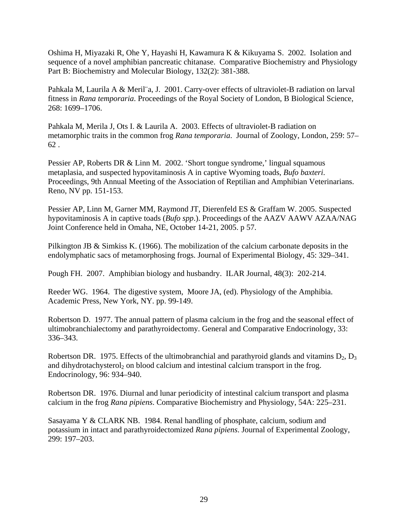Oshima H, Miyazaki R, Ohe Y, Hayashi H, Kawamura K & Kikuyama S. 2002. Isolation and sequence of a novel amphibian pancreatic chitanase. Comparative Biochemistry and Physiology Part B: Biochemistry and Molecular Biology, 132(2): 381-388.

Pahkala M, Laurila A & Meril¨a, J. 2001. Carry-over effects of ultraviolet-B radiation on larval fitness in *Rana temporaria*. Proceedings of the Royal Society of London, B Biological Science, 268: 1699–1706.

Pahkala M, Merila J, Ots I. & Laurila A. 2003. Effects of ultraviolet-B radiation on metamorphic traits in the common frog *Rana temporaria*. Journal of Zoology, London, 259: 57– 62 .

Pessier AP, Roberts DR & Linn M. 2002. 'Short tongue syndrome,' lingual squamous metaplasia, and suspected hypovitaminosis A in captive Wyoming toads, *Bufo baxteri*. Proceedings, 9th Annual Meeting of the Association of Reptilian and Amphibian Veterinarians. Reno, NV pp. 151-153.

Pessier AP, Linn M, Garner MM, Raymond JT, Dierenfeld ES & Graffam W. 2005. Suspected hypovitaminosis A in captive toads (*Bufo spp*.). Proceedings of the AAZV AAWV AZAA/NAG Joint Conference held in Omaha, NE, October 14-21, 2005. p 57.

Pilkington JB  $\&$  Simkiss K. (1966). The mobilization of the calcium carbonate deposits in the endolymphatic sacs of metamorphosing frogs. Journal of Experimental Biology, 45: 329–341.

Pough FH. 2007. Amphibian biology and husbandry. ILAR Journal, 48(3): 202-214.

Reeder WG. 1964. The digestive system, Moore JA, (ed). Physiology of the Amphibia. Academic Press, New York, NY. pp. 99-149.

Robertson D. 1977. The annual pattern of plasma calcium in the frog and the seasonal effect of ultimobranchialectomy and parathyroidectomy. General and Comparative Endocrinology, 33: 336–343.

Robertson DR. 1975. Effects of the ultimobranchial and parathyroid glands and vitamins  $D_2$ ,  $D_3$ and dihydrotachysterol<sub>2</sub> on blood calcium and intestinal calcium transport in the frog. Endocrinology, 96: 934–940.

Robertson DR. 1976. Diurnal and lunar periodicity of intestinal calcium transport and plasma calcium in the frog *Rana pipiens*. Comparative Biochemistry and Physiology, 54A: 225–231.

Sasayama Y & CLARK NB. 1984. Renal handling of phosphate, calcium, sodium and potassium in intact and parathyroidectomized *Rana pipiens*. Journal of Experimental Zoology, 299: 197–203.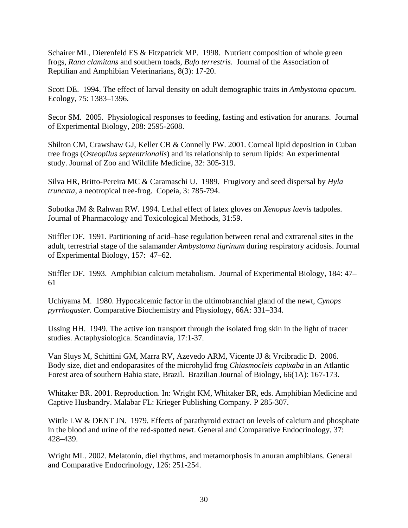Schairer ML, Dierenfeld ES & Fitzpatrick MP. 1998. Nutrient composition of whole green frogs, *Rana clamitans* and southern toads, *Bufo terrestris*. Journal of the Association of Reptilian and Amphibian Veterinarians, 8(3): 17-20.

Scott DE. 1994. The effect of larval density on adult demographic traits in *Ambystoma opacum*. Ecology, 75: 1383–1396.

Secor SM. 2005. Physiological responses to feeding, fasting and estivation for anurans. Journal of Experimental Biology, 208: 2595-2608.

Shilton CM, Crawshaw GJ, Keller CB & Connelly PW. 2001. Corneal lipid deposition in Cuban tree frogs (*Osteopilus septentrionalis*) and its relationship to serum lipids: An experimental study. Journal of Zoo and Wildlife Medicine, 32: 305-319.

Silva HR, Britto-Pereira MC & Caramaschi U. 1989. Frugivory and seed dispersal by *Hyla truncata*, a neotropical tree-frog. Copeia, 3: 785-794.

Sobotka JM & Rahwan RW. 1994. Lethal effect of latex gloves on *Xenopus laevis* tadpoles. Journal of Pharmacology and Toxicological Methods, 31:59.

Stiffler DF. 1991. Partitioning of acid–base regulation between renal and extrarenal sites in the adult, terrestrial stage of the salamander *Ambystoma tigrinum* during respiratory acidosis. Journal of Experimental Biology, 157: 47–62.

Stiffler DF. 1993. Amphibian calcium metabolism. Journal of Experimental Biology, 184: 47– 61

Uchiyama M. 1980. Hypocalcemic factor in the ultimobranchial gland of the newt, *Cynops pyrrhogaster*. Comparative Biochemistry and Physiology, 66A: 331–334.

Ussing HH. 1949. The active ion transport through the isolated frog skin in the light of tracer studies. Actaphysiologica. Scandinavia, 17:1-37.

Van Sluys M, Schittini GM, Marra RV, Azevedo ARM, Vicente JJ & Vrcibradic D. 2006. Body size, diet and endoparasites of the microhylid frog *Chiasmocleis capixaba* in an Atlantic Forest area of southern Bahia state, Brazil. Brazilian Journal of Biology, 66(1A): 167-173.

Whitaker BR. 2001. Reproduction. In: Wright KM, Whitaker BR, eds. Amphibian Medicine and Captive Husbandry. Malabar FL: Krieger Publishing Company. P 285-307.

Wittle LW & DENT JN. 1979. Effects of parathyroid extract on levels of calcium and phosphate in the blood and urine of the red-spotted newt. General and Comparative Endocrinology, 37: 428–439.

Wright ML. 2002. Melatonin, diel rhythms, and metamorphosis in anuran amphibians. General and Comparative Endocrinology, 126: 251-254.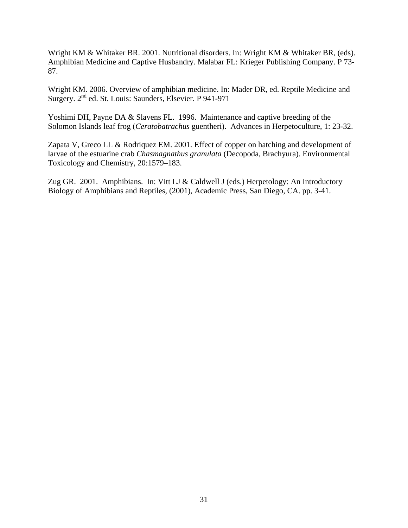Wright KM & Whitaker BR. 2001. Nutritional disorders. In: Wright KM & Whitaker BR, (eds). Amphibian Medicine and Captive Husbandry. Malabar FL: Krieger Publishing Company. P 73- 87.

Wright KM. 2006. Overview of amphibian medicine. In: Mader DR, ed. Reptile Medicine and Surgery. 2<sup>nd</sup> ed. St. Louis: Saunders, Elsevier. P 941-971

Yoshimi DH, Payne DA & Slavens FL. 1996. Maintenance and captive breeding of the Solomon Islands leaf frog (*Ceratobatrachus* guentheri). Advances in Herpetoculture, 1: 23-32.

Zapata V, Greco LL & Rodriquez EM. 2001. Effect of copper on hatching and development of larvae of the estuarine crab *Chasmagnathus granulata* (Decopoda, Brachyura). Environmental Toxicology and Chemistry, 20:1579–183.

Zug GR. 2001. Amphibians. In: Vitt LJ & Caldwell J (eds.) Herpetology: An Introductory Biology of Amphibians and Reptiles, (2001), Academic Press, San Diego, CA. pp. 3-41.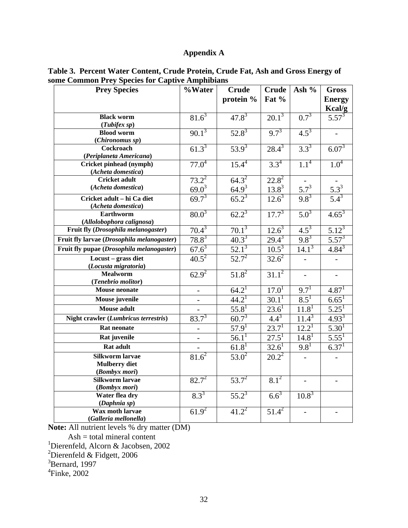# **Appendix A**

| <b>Prey Species</b>                           | %Water         | <b>Crude</b>            | <b>Crude</b>      | Ash %                 | <b>Gross</b>             |
|-----------------------------------------------|----------------|-------------------------|-------------------|-----------------------|--------------------------|
|                                               |                | protein %               | Fat %             |                       | <b>Energy</b>            |
|                                               |                |                         |                   |                       | Kcal/g                   |
| <b>Black worm</b>                             | $81.6^3$       | $47.8^{3}$              | $20.1^3$          | $0.7^{3}$             | $5.57^{3}$               |
| (Tubifex sp)                                  |                |                         |                   |                       |                          |
| <b>Blood worm</b>                             | $90.1^3$       | $52.8^3$                | $9.7^{3}$         | $4.5^3$               |                          |
| (Chironomus sp)                               |                |                         |                   |                       |                          |
| Cockroach                                     | $61.3^{3}$     | $53.9^{3}$              | $28.4^{3}$        | $3.3^{3}$             | $6.07^{3}$               |
| (Periplaneta Americana)                       |                |                         |                   |                       |                          |
| Cricket pinhead (nymph)                       | $77.0^{4}$     | $15.4^{4}$              | $3.3^{4}$         | $1.1^4$               | $1.0^{4}$                |
| (Acheta domestica)<br><b>Cricket adult</b>    | $73.2^2$       | $64.3^{2}$              | $22.8^2$          |                       |                          |
| (Acheta domestica)                            |                |                         |                   |                       |                          |
|                                               | $69.0^3$       | $\frac{64.9^3}{65.2^3}$ | $13.8^{3}$        | $\frac{5.7^3}{9.8^3}$ | $\frac{5.3^3}{5.4^3}$    |
| Cricket adult - hi Ca diet                    | $69.7^{3}$     |                         | $12.6^3$          |                       |                          |
| (Acheta domestica)                            |                | $62.2^3$                |                   |                       |                          |
| <b>Earthworm</b><br>(Allolobophora calignosa) | $80.0^{3}$     |                         | $17.7^{3}$        | $5.0^{3}$             | $4.65^{3}$               |
| Fruit fly (Drosophila melanogaster)           | $70.4^3$       | $70.1^3$                | $12.6^3$          | $4.5^{3}$             | $5.12^{3}$               |
| Fruit fly larvae (Drosophila melanogaster)    | $78.8^{3}$     | $40.3^{3}$              | $29.4^{3}$        | $9.8^{3}$             | $5.57^{3}$               |
| Fruit fly pupae (Drosophila melanogaster)     | $67.6^3$       | $52.1^3$                | $10.5^3$          | $14.1^3$              | $4.84^{3}$               |
|                                               |                |                         |                   |                       |                          |
| Locust - grass diet<br>(Locusta migratoria)   | $40.5^2$       | $52.7^{2}$              | $32.6^2$          |                       |                          |
| <b>Mealworm</b>                               | $62.9^{2}$     | $51.8^{2}$              | $31.1^2$          |                       | $\overline{\phantom{0}}$ |
| (Tenebrio molitor)                            |                |                         |                   |                       |                          |
| <b>Mouse neonate</b>                          |                | $64.2^1$                | 17.0 <sup>1</sup> | 9.7 <sup>1</sup>      | 4.87 <sup>1</sup>        |
| Mouse juvenile                                | $\blacksquare$ | 44.2 <sup>1</sup>       | 30.1 <sup>1</sup> | $8.\overline{5}^{1}$  | $6.65^{\bar{1}}$         |
| <b>Mouse adult</b>                            |                | $55.8^{1}$              | $23.6^{1}$        | 11.8 <sup>1</sup>     | $5.\overline{25^1}$      |
| Night crawler (Lumbricus terrestris)          | $83.7^{3}$     | $60.7^{3}$              | $4.4^{3}$         | $11.\overline{4}^{3}$ | $4.93^{3}$               |
| <b>Rat neonate</b>                            |                | $57.9^{1}$              | $23.7^{1}$        | $12.2^{\text{T}}$     | $5.30^{1}$               |
| Rat juvenile                                  |                | $56.1^1$                | $27.5^1$          | $14.8^{1}$            | $5.55^{1}$               |
| Rat adult                                     |                | $61.8^{1}$              | $32.6^{1}$        | $9.8^{1}$             | 6.37 <sup>1</sup>        |
| <b>Silkworm larvae</b>                        | $81.6^2$       | $53.0^2$                | $20.2^2$          |                       |                          |
| <b>Mulberry</b> diet                          |                |                         |                   |                       |                          |
| (Bombyx mori)                                 |                |                         |                   |                       |                          |
| <b>Silkworm larvae</b>                        | $82.7^{2}$     | $53.7^2$                | $8.1^2$           |                       |                          |
| (Bombyx mori)                                 |                |                         |                   |                       |                          |
| Water flea dry                                | $8.3^{3}$      | $55.2^3$                | $6.6^{3}$         | $10.8^{3}$            |                          |
| (Daphnia sp)                                  |                |                         |                   |                       |                          |
| Wax moth larvae<br>(Galleria mellonella)      | $61.9^{2}$     | $41.2^2$                | $51.4^2$          |                       |                          |
|                                               |                |                         |                   |                       |                          |

## **Table 3. Percent Water Content, Crude Protein, Crude Fat, Ash and Gross Energy of some Common Prey Species for Captive Amphibians**

**Note:** All nutrient levels % dry matter (DM)

Ash = total mineral content

<sup>&</sup>lt;sup>1</sup>Dierenfeld, Alcorn & Jacobsen, 2002<br><sup>2</sup>Dierenfeld & Fidgett, 2006

<sup>&</sup>lt;sup>3</sup>Bernard, 1997

<sup>4</sup> Finke, 2002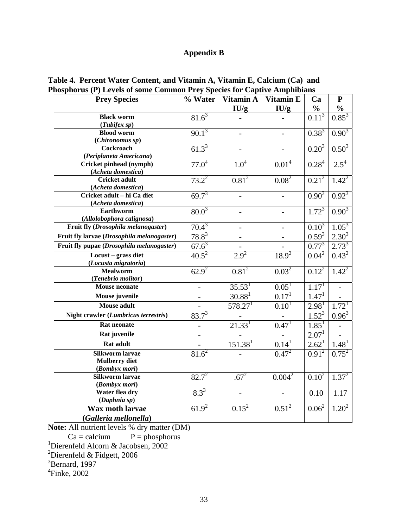# **Appendix B**

| <b>Prey Species</b>                        | % Water                      | Vitamin A               | <b>Vitamin E</b>  | Ca                | ${\bf P}$           |
|--------------------------------------------|------------------------------|-------------------------|-------------------|-------------------|---------------------|
|                                            |                              | IU/g                    | IU/g              | $\frac{1}{2}$     | $\frac{1}{2}$       |
| <b>Black worm</b>                          | $81.6^3$                     |                         |                   | $0.11^{3}$        | $0.85^{3}$          |
| (Tubifex sp)                               |                              |                         |                   |                   |                     |
| <b>Blood worm</b>                          | $90.1^{3}$                   |                         |                   | $0.38^{3}$        | $0.90^{3}$          |
| (Chironomus sp)                            |                              |                         |                   |                   |                     |
| Cockroach                                  | $61.3^{3}$                   |                         |                   | $0.20^{3}$        | $0.50^{3}$          |
| (Periplaneta Americana)                    |                              |                         |                   |                   |                     |
| Cricket pinhead (nymph)                    | $77.0^{4}$                   | $1.0^{4}$               | $0.01^{4}$        | $0.28^4$          | $2.5^4$             |
| (Acheta domestica)<br><b>Cricket adult</b> | $73.2^2$                     | $0.81^{2}$              | $0.08^{2}$        | $0.21^{2}$        | $1.42^{2}$          |
| (Acheta domestica)                         |                              |                         |                   |                   |                     |
| Cricket adult - hi Ca diet                 | $69.7^{3}$                   |                         |                   | $0.90^{3}$        | $0.92^{3}$          |
| (Acheta domestica)                         |                              |                         |                   |                   |                     |
| Earthworm                                  | $80.0^{3}$                   |                         |                   | $1.72^{3}$        | $0.90^{3}$          |
| (Allolobophora calignosa)                  |                              |                         |                   |                   |                     |
| Fruit fly (Drosophila melanogaster)        | $70.4^3$                     |                         |                   | $0.10^{3}$        | $1.05^3$            |
| Fruit fly larvae (Drosophila melanogaster) | $78.8^3$                     |                         |                   | $0.59^{3}$        | $2.30^{3}$          |
| Fruit fly pupae (Drosophila melanogaster)  | $67.6^3$                     |                         |                   | $0.77^{3}$        | $2.73^{3}$          |
| Locust - grass diet                        | $40.5^2$                     | $2.9^{2}$               | $18.9^{2}$        | $0.04^2$          | $0.43^{2}$          |
| (Locusta migratoria)                       |                              |                         |                   |                   |                     |
| <b>Mealworm</b>                            | $62.9^{2}$                   | $0.81^{2}$              | $0.03^{2}$        | $0.12^{2}$        | $1.42^2$            |
| (Tenebrio molitor)                         |                              |                         |                   |                   |                     |
| <b>Mouse neonate</b>                       | $\overline{\phantom{0}}$     | 35.53 <sup>1</sup>      | $0.05^{1}$        | 1.17 <sup>1</sup> |                     |
| Mouse juvenile                             | $\qquad \qquad \blacksquare$ | $30.88^{1}$             | 0.17 <sup>1</sup> | $1.47^{1}$        |                     |
| <b>Mouse adult</b>                         |                              | 578.27 <sup>1</sup>     | $0.10^{1}$        | 2.98 <sup>1</sup> | 1.72 <sup>1</sup>   |
| Night crawler (Lumbricus terrestris)       | $83.7^{3}$                   |                         |                   | $1.52^{3}$        | $0.96^{3}$          |
| <b>Rat neonate</b>                         |                              | 21.33 <sup>1</sup>      | $0.47^{1}$        | $1.85^1$          |                     |
| Rat juvenile                               |                              |                         |                   | 2.07 <sup>1</sup> |                     |
| <b>Rat adult</b>                           |                              | $\overline{151.38}^{1}$ | 0.14 <sup>1</sup> | $2.62^1$          | 1.48 <sup>1</sup>   |
| <b>Silkworm larvae</b>                     | $81.6^2$                     |                         | $0.47^{2}$        | $0.91^2$          | $0.75^2$            |
| <b>Mulberry diet</b>                       |                              |                         |                   |                   |                     |
| (Bombyx mori)                              |                              |                         |                   |                   |                     |
| <b>Silkworm larvae</b>                     | $82.7^{2}$                   | $.67^{2}$               | $0.004^2$         | $0.10^{2}$        | $1.\overline{37^2}$ |
| (Bombyx mori)                              |                              |                         |                   |                   |                     |
| Water flea dry                             | $8.3^{3}$                    |                         |                   | 0.10              | 1.17                |
| (Daphnia sp)                               |                              |                         |                   |                   |                     |
| <b>Wax moth larvae</b>                     | $61.9^{2}$                   | $0.15^2$                | $0.51^{2}$        | $0.06^{2}$        | $1.20^{2}$          |
| (Galleria mellonella)                      |                              |                         |                   |                   |                     |

## **Table 4. Percent Water Content, and Vitamin A, Vitamin E, Calcium (Ca) and Phosphorus (P) Levels of some Common Prey Species for Captive Amphibians**

**Note:** All nutrient levels % dry matter (DM)

 $Ca =$ calcium  $P =$ phosphorus

<sup>1</sup>Dierenfeld Alcorn & Jacobsen, 2002<br><sup>2</sup>Dierenfeld & Fidgett, 2006

<sup>3</sup>Bernard, 1997

4 Finke, 2002